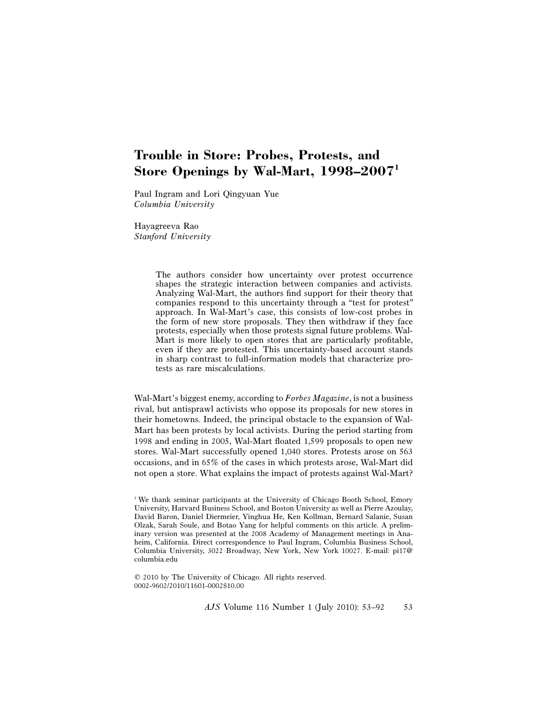# **Trouble in Store: Probes, Protests, and Store Openings by Wal-Mart, 1998–20071**

Paul Ingram and Lori Qingyuan Yue *Columbia University*

Hayagreeva Rao *Stanford University*

> The authors consider how uncertainty over protest occurrence shapes the strategic interaction between companies and activists. Analyzing Wal-Mart, the authors find support for their theory that companies respond to this uncertainty through a "test for protest" approach. In Wal-Mart's case, this consists of low-cost probes in the form of new store proposals. They then withdraw if they face protests, especially when those protests signal future problems. Wal-Mart is more likely to open stores that are particularly profitable, even if they are protested. This uncertainty-based account stands in sharp contrast to full-information models that characterize protests as rare miscalculations.

Wal-Mart's biggest enemy, according to *Forbes Magazine*, is not a business rival, but antisprawl activists who oppose its proposals for new stores in their hometowns. Indeed, the principal obstacle to the expansion of Wal-Mart has been protests by local activists. During the period starting from 1998 and ending in 2005, Wal-Mart floated 1,599 proposals to open new stores. Wal-Mart successfully opened 1,040 stores. Protests arose on 563 occasions, and in 65% of the cases in which protests arose, Wal-Mart did not open a store. What explains the impact of protests against Wal-Mart?

 $© 2010 by The University of Chicago. All rights reserved.$ 0002-9602/2010/11601-0002\$10.00

<sup>&</sup>lt;sup>1</sup> We thank seminar participants at the University of Chicago Booth School, Emory University, Harvard Business School, and Boston University as well as Pierre Azoulay, David Baron, Daniel Diermeier, Yinghua He, Ken Kollman, Bernard Salanie, Susan Olzak, Sarah Soule, and Botao Yang for helpful comments on this article. A preliminary version was presented at the 2008 Academy of Management meetings in Anaheim, California. Direct correspondence to Paul Ingram, Columbia Business School, Columbia University, 3022 Broadway, New York, New York 10027. E-mail: pi17@ columbia.edu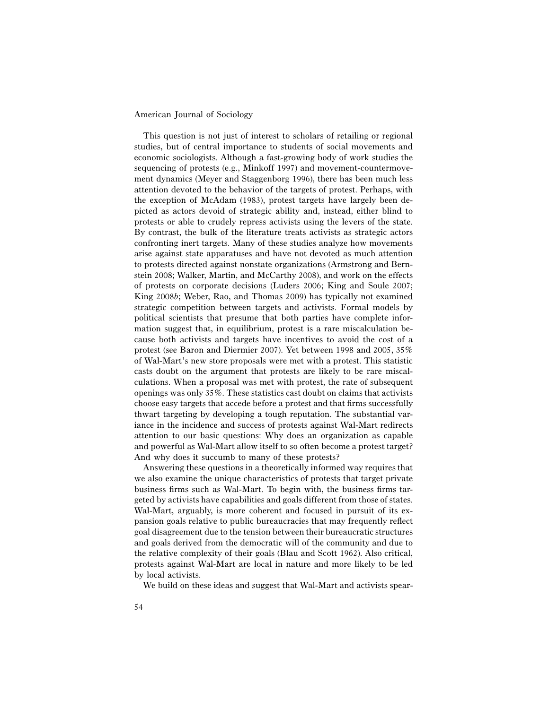This question is not just of interest to scholars of retailing or regional studies, but of central importance to students of social movements and economic sociologists. Although a fast-growing body of work studies the sequencing of protests (e.g., Minkoff 1997) and movement-countermovement dynamics (Meyer and Staggenborg 1996), there has been much less attention devoted to the behavior of the targets of protest. Perhaps, with the exception of McAdam (1983), protest targets have largely been depicted as actors devoid of strategic ability and, instead, either blind to protests or able to crudely repress activists using the levers of the state. By contrast, the bulk of the literature treats activists as strategic actors confronting inert targets. Many of these studies analyze how movements arise against state apparatuses and have not devoted as much attention to protests directed against nonstate organizations (Armstrong and Bernstein 2008; Walker, Martin, and McCarthy 2008), and work on the effects of protests on corporate decisions (Luders 2006; King and Soule 2007; King 2008*b*; Weber, Rao, and Thomas 2009) has typically not examined strategic competition between targets and activists. Formal models by political scientists that presume that both parties have complete information suggest that, in equilibrium, protest is a rare miscalculation because both activists and targets have incentives to avoid the cost of a protest (see Baron and Diermier 2007). Yet between 1998 and 2005, 35% of Wal-Mart's new store proposals were met with a protest. This statistic casts doubt on the argument that protests are likely to be rare miscalculations. When a proposal was met with protest, the rate of subsequent openings was only 35%. These statistics cast doubt on claims that activists choose easy targets that accede before a protest and that firms successfully thwart targeting by developing a tough reputation. The substantial variance in the incidence and success of protests against Wal-Mart redirects attention to our basic questions: Why does an organization as capable and powerful as Wal-Mart allow itself to so often become a protest target? And why does it succumb to many of these protests?

Answering these questions in a theoretically informed way requires that we also examine the unique characteristics of protests that target private business firms such as Wal-Mart. To begin with, the business firms targeted by activists have capabilities and goals different from those of states. Wal-Mart, arguably, is more coherent and focused in pursuit of its expansion goals relative to public bureaucracies that may frequently reflect goal disagreement due to the tension between their bureaucratic structures and goals derived from the democratic will of the community and due to the relative complexity of their goals (Blau and Scott 1962). Also critical, protests against Wal-Mart are local in nature and more likely to be led by local activists.

We build on these ideas and suggest that Wal-Mart and activists spear-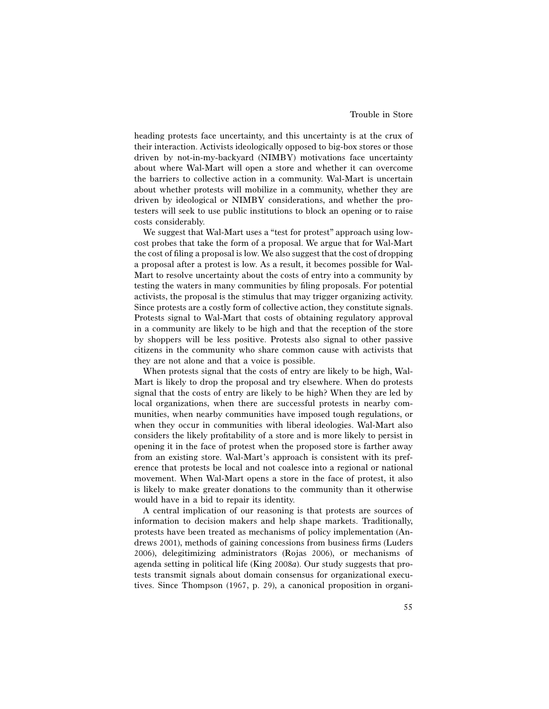#### Trouble in Store

heading protests face uncertainty, and this uncertainty is at the crux of their interaction. Activists ideologically opposed to big-box stores or those driven by not-in-my-backyard (NIMBY) motivations face uncertainty about where Wal-Mart will open a store and whether it can overcome the barriers to collective action in a community. Wal-Mart is uncertain about whether protests will mobilize in a community, whether they are driven by ideological or NIMBY considerations, and whether the protesters will seek to use public institutions to block an opening or to raise costs considerably.

We suggest that Wal-Mart uses a "test for protest" approach using lowcost probes that take the form of a proposal. We argue that for Wal-Mart the cost of filing a proposal is low. We also suggest that the cost of dropping a proposal after a protest is low. As a result, it becomes possible for Wal-Mart to resolve uncertainty about the costs of entry into a community by testing the waters in many communities by filing proposals. For potential activists, the proposal is the stimulus that may trigger organizing activity. Since protests are a costly form of collective action, they constitute signals. Protests signal to Wal-Mart that costs of obtaining regulatory approval in a community are likely to be high and that the reception of the store by shoppers will be less positive. Protests also signal to other passive citizens in the community who share common cause with activists that they are not alone and that a voice is possible.

When protests signal that the costs of entry are likely to be high, Wal-Mart is likely to drop the proposal and try elsewhere. When do protests signal that the costs of entry are likely to be high? When they are led by local organizations, when there are successful protests in nearby communities, when nearby communities have imposed tough regulations, or when they occur in communities with liberal ideologies. Wal-Mart also considers the likely profitability of a store and is more likely to persist in opening it in the face of protest when the proposed store is farther away from an existing store. Wal-Mart's approach is consistent with its preference that protests be local and not coalesce into a regional or national movement. When Wal-Mart opens a store in the face of protest, it also is likely to make greater donations to the community than it otherwise would have in a bid to repair its identity.

A central implication of our reasoning is that protests are sources of information to decision makers and help shape markets. Traditionally, protests have been treated as mechanisms of policy implementation (Andrews 2001), methods of gaining concessions from business firms (Luders 2006), delegitimizing administrators (Rojas 2006), or mechanisms of agenda setting in political life (King 2008*a*). Our study suggests that protests transmit signals about domain consensus for organizational executives. Since Thompson (1967, p. 29), a canonical proposition in organi-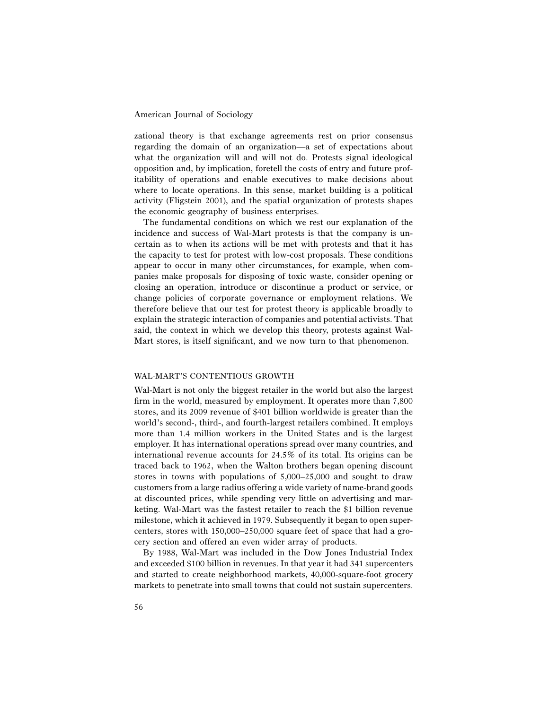zational theory is that exchange agreements rest on prior consensus regarding the domain of an organization—a set of expectations about what the organization will and will not do. Protests signal ideological opposition and, by implication, foretell the costs of entry and future profitability of operations and enable executives to make decisions about where to locate operations. In this sense, market building is a political activity (Fligstein 2001), and the spatial organization of protests shapes the economic geography of business enterprises.

The fundamental conditions on which we rest our explanation of the incidence and success of Wal-Mart protests is that the company is uncertain as to when its actions will be met with protests and that it has the capacity to test for protest with low-cost proposals. These conditions appear to occur in many other circumstances, for example, when companies make proposals for disposing of toxic waste, consider opening or closing an operation, introduce or discontinue a product or service, or change policies of corporate governance or employment relations. We therefore believe that our test for protest theory is applicable broadly to explain the strategic interaction of companies and potential activists. That said, the context in which we develop this theory, protests against Wal-Mart stores, is itself significant, and we now turn to that phenomenon.

#### WAL-MART'S CONTENTIOUS GROWTH

Wal-Mart is not only the biggest retailer in the world but also the largest firm in the world, measured by employment. It operates more than 7,800 stores, and its 2009 revenue of \$401 billion worldwide is greater than the world's second-, third-, and fourth-largest retailers combined. It employs more than 1.4 million workers in the United States and is the largest employer. It has international operations spread over many countries, and international revenue accounts for 24.5% of its total. Its origins can be traced back to 1962, when the Walton brothers began opening discount stores in towns with populations of 5,000–25,000 and sought to draw customers from a large radius offering a wide variety of name-brand goods at discounted prices, while spending very little on advertising and marketing. Wal-Mart was the fastest retailer to reach the \$1 billion revenue milestone, which it achieved in 1979. Subsequently it began to open supercenters, stores with 150,000–250,000 square feet of space that had a grocery section and offered an even wider array of products.

By 1988, Wal-Mart was included in the Dow Jones Industrial Index and exceeded \$100 billion in revenues. In that year it had 341 supercenters and started to create neighborhood markets, 40,000-square-foot grocery markets to penetrate into small towns that could not sustain supercenters.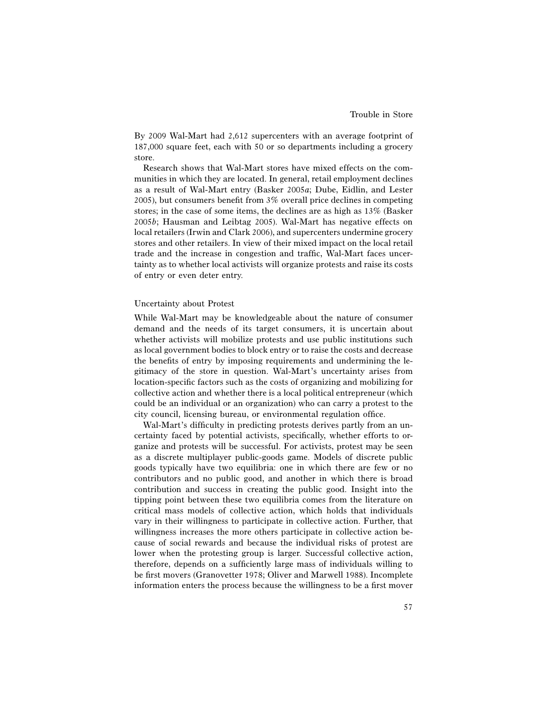By 2009 Wal-Mart had 2,612 supercenters with an average footprint of 187,000 square feet, each with 50 or so departments including a grocery store.

Research shows that Wal-Mart stores have mixed effects on the communities in which they are located. In general, retail employment declines as a result of Wal-Mart entry (Basker 2005*a*; Dube, Eidlin, and Lester 2005), but consumers benefit from 3% overall price declines in competing stores; in the case of some items, the declines are as high as 13% (Basker 2005*b*; Hausman and Leibtag 2005). Wal-Mart has negative effects on local retailers (Irwin and Clark 2006), and supercenters undermine grocery stores and other retailers. In view of their mixed impact on the local retail trade and the increase in congestion and traffic, Wal-Mart faces uncertainty as to whether local activists will organize protests and raise its costs of entry or even deter entry.

#### Uncertainty about Protest

While Wal-Mart may be knowledgeable about the nature of consumer demand and the needs of its target consumers, it is uncertain about whether activists will mobilize protests and use public institutions such as local government bodies to block entry or to raise the costs and decrease the benefits of entry by imposing requirements and undermining the legitimacy of the store in question. Wal-Mart's uncertainty arises from location-specific factors such as the costs of organizing and mobilizing for collective action and whether there is a local political entrepreneur (which could be an individual or an organization) who can carry a protest to the city council, licensing bureau, or environmental regulation office.

Wal-Mart's difficulty in predicting protests derives partly from an uncertainty faced by potential activists, specifically, whether efforts to organize and protests will be successful. For activists, protest may be seen as a discrete multiplayer public-goods game. Models of discrete public goods typically have two equilibria: one in which there are few or no contributors and no public good, and another in which there is broad contribution and success in creating the public good. Insight into the tipping point between these two equilibria comes from the literature on critical mass models of collective action, which holds that individuals vary in their willingness to participate in collective action. Further, that willingness increases the more others participate in collective action because of social rewards and because the individual risks of protest are lower when the protesting group is larger. Successful collective action, therefore, depends on a sufficiently large mass of individuals willing to be first movers (Granovetter 1978; Oliver and Marwell 1988). Incomplete information enters the process because the willingness to be a first mover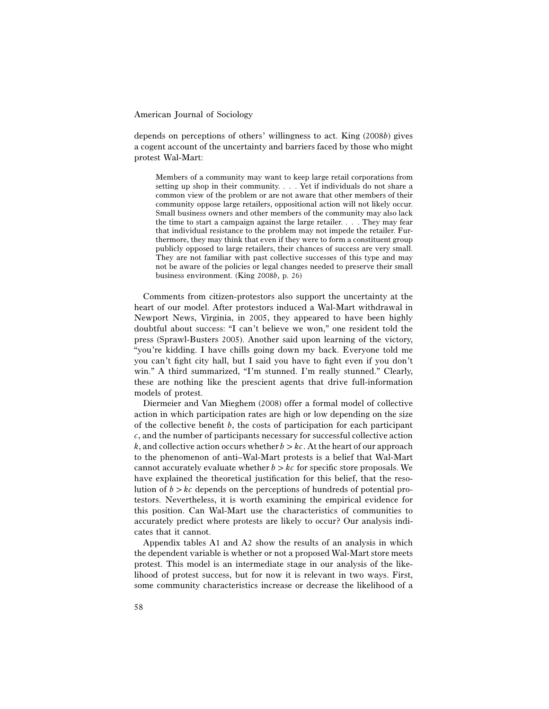depends on perceptions of others' willingness to act. King (2008*b*) gives a cogent account of the uncertainty and barriers faced by those who might protest Wal-Mart:

Members of a community may want to keep large retail corporations from setting up shop in their community. . . . Yet if individuals do not share a common view of the problem or are not aware that other members of their community oppose large retailers, oppositional action will not likely occur. Small business owners and other members of the community may also lack the time to start a campaign against the large retailer. . . . They may fear that individual resistance to the problem may not impede the retailer. Furthermore, they may think that even if they were to form a constituent group publicly opposed to large retailers, their chances of success are very small. They are not familiar with past collective successes of this type and may not be aware of the policies or legal changes needed to preserve their small business environment. (King 2008*b*, p. 26)

Comments from citizen-protestors also support the uncertainty at the heart of our model. After protestors induced a Wal-Mart withdrawal in Newport News, Virginia, in 2005, they appeared to have been highly doubtful about success: "I can't believe we won," one resident told the press (Sprawl-Busters 2005). Another said upon learning of the victory, "you're kidding. I have chills going down my back. Everyone told me you can't fight city hall, but I said you have to fight even if you don't win." A third summarized, "I'm stunned. I'm really stunned." Clearly, these are nothing like the prescient agents that drive full-information models of protest.

Diermeier and Van Mieghem (2008) offer a formal model of collective action in which participation rates are high or low depending on the size of the collective benefit *b*, the costs of participation for each participant *c*, and the number of participants necessary for successful collective action *k*, and collective action occurs whether  $b > kc$ . At the heart of our approach to the phenomenon of anti–Wal-Mart protests is a belief that Wal-Mart cannot accurately evaluate whether  $b > kc$  for specific store proposals. We have explained the theoretical justification for this belief, that the resolution of  $b > kc$  depends on the perceptions of hundreds of potential protestors. Nevertheless, it is worth examining the empirical evidence for this position. Can Wal-Mart use the characteristics of communities to accurately predict where protests are likely to occur? Our analysis indicates that it cannot.

Appendix tables A1 and A2 show the results of an analysis in which the dependent variable is whether or not a proposed Wal-Mart store meets protest. This model is an intermediate stage in our analysis of the likelihood of protest success, but for now it is relevant in two ways. First, some community characteristics increase or decrease the likelihood of a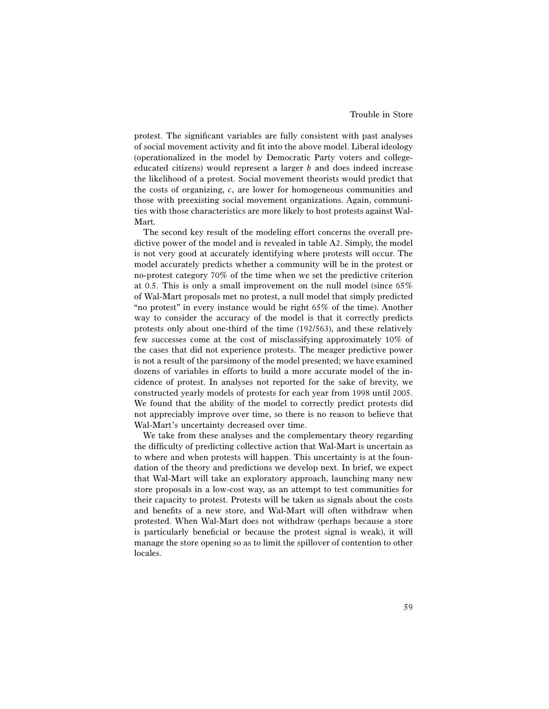#### Trouble in Store

protest. The significant variables are fully consistent with past analyses of social movement activity and fit into the above model. Liberal ideology (operationalized in the model by Democratic Party voters and collegeeducated citizens) would represent a larger *b* and does indeed increase the likelihood of a protest. Social movement theorists would predict that the costs of organizing, *c*, are lower for homogeneous communities and those with preexisting social movement organizations. Again, communities with those characteristics are more likely to host protests against Wal-Mart.

The second key result of the modeling effort concerns the overall predictive power of the model and is revealed in table A2. Simply, the model is not very good at accurately identifying where protests will occur. The model accurately predicts whether a community will be in the protest or no-protest category 70% of the time when we set the predictive criterion at 0.5. This is only a small improvement on the null model (since 65% of Wal-Mart proposals met no protest, a null model that simply predicted "no protest" in every instance would be right 65% of the time). Another way to consider the accuracy of the model is that it correctly predicts protests only about one-third of the time  $(192/563)$ , and these relatively few successes come at the cost of misclassifying approximately 10% of the cases that did not experience protests. The meager predictive power is not a result of the parsimony of the model presented; we have examined dozens of variables in efforts to build a more accurate model of the incidence of protest. In analyses not reported for the sake of brevity, we constructed yearly models of protests for each year from 1998 until 2005. We found that the ability of the model to correctly predict protests did not appreciably improve over time, so there is no reason to believe that Wal-Mart's uncertainty decreased over time.

We take from these analyses and the complementary theory regarding the difficulty of predicting collective action that Wal-Mart is uncertain as to where and when protests will happen. This uncertainty is at the foundation of the theory and predictions we develop next. In brief, we expect that Wal-Mart will take an exploratory approach, launching many new store proposals in a low-cost way, as an attempt to test communities for their capacity to protest. Protests will be taken as signals about the costs and benefits of a new store, and Wal-Mart will often withdraw when protested. When Wal-Mart does not withdraw (perhaps because a store is particularly beneficial or because the protest signal is weak), it will manage the store opening so as to limit the spillover of contention to other locales.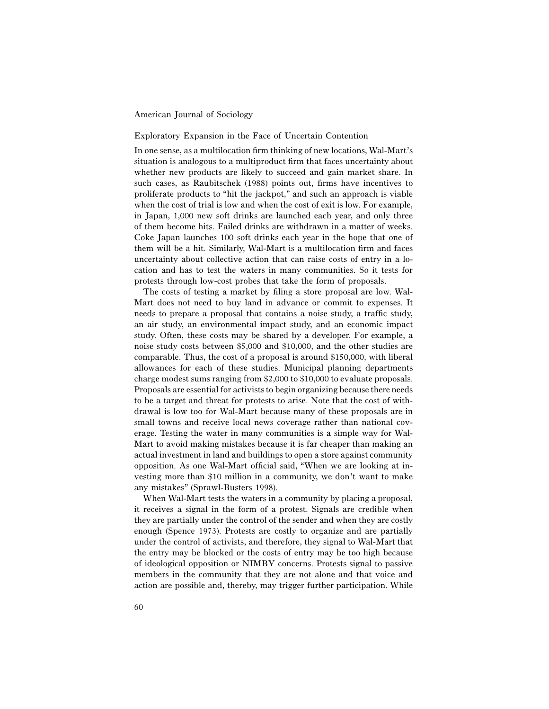#### Exploratory Expansion in the Face of Uncertain Contention

In one sense, as a multilocation firm thinking of new locations, Wal-Mart's situation is analogous to a multiproduct firm that faces uncertainty about whether new products are likely to succeed and gain market share. In such cases, as Raubitschek (1988) points out, firms have incentives to proliferate products to "hit the jackpot," and such an approach is viable when the cost of trial is low and when the cost of exit is low. For example, in Japan, 1,000 new soft drinks are launched each year, and only three of them become hits. Failed drinks are withdrawn in a matter of weeks. Coke Japan launches 100 soft drinks each year in the hope that one of them will be a hit. Similarly, Wal-Mart is a multilocation firm and faces uncertainty about collective action that can raise costs of entry in a location and has to test the waters in many communities. So it tests for protests through low-cost probes that take the form of proposals.

The costs of testing a market by filing a store proposal are low. Wal-Mart does not need to buy land in advance or commit to expenses. It needs to prepare a proposal that contains a noise study, a traffic study, an air study, an environmental impact study, and an economic impact study. Often, these costs may be shared by a developer. For example, a noise study costs between \$5,000 and \$10,000, and the other studies are comparable. Thus, the cost of a proposal is around \$150,000, with liberal allowances for each of these studies. Municipal planning departments charge modest sums ranging from \$2,000 to \$10,000 to evaluate proposals. Proposals are essential for activists to begin organizing because there needs to be a target and threat for protests to arise. Note that the cost of withdrawal is low too for Wal-Mart because many of these proposals are in small towns and receive local news coverage rather than national coverage. Testing the water in many communities is a simple way for Wal-Mart to avoid making mistakes because it is far cheaper than making an actual investment in land and buildings to open a store against community opposition. As one Wal-Mart official said, "When we are looking at investing more than \$10 million in a community, we don't want to make any mistakes" (Sprawl-Busters 1998).

When Wal-Mart tests the waters in a community by placing a proposal, it receives a signal in the form of a protest. Signals are credible when they are partially under the control of the sender and when they are costly enough (Spence 1973). Protests are costly to organize and are partially under the control of activists, and therefore, they signal to Wal-Mart that the entry may be blocked or the costs of entry may be too high because of ideological opposition or NIMBY concerns. Protests signal to passive members in the community that they are not alone and that voice and action are possible and, thereby, may trigger further participation. While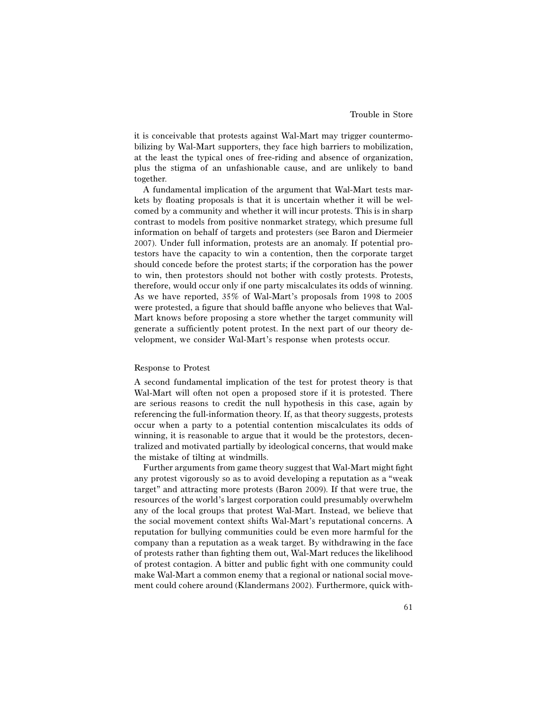it is conceivable that protests against Wal-Mart may trigger countermobilizing by Wal-Mart supporters, they face high barriers to mobilization, at the least the typical ones of free-riding and absence of organization, plus the stigma of an unfashionable cause, and are unlikely to band together.

A fundamental implication of the argument that Wal-Mart tests markets by floating proposals is that it is uncertain whether it will be welcomed by a community and whether it will incur protests. This is in sharp contrast to models from positive nonmarket strategy, which presume full information on behalf of targets and protesters (see Baron and Diermeier 2007). Under full information, protests are an anomaly. If potential protestors have the capacity to win a contention, then the corporate target should concede before the protest starts; if the corporation has the power to win, then protestors should not bother with costly protests. Protests, therefore, would occur only if one party miscalculates its odds of winning. As we have reported, 35% of Wal-Mart's proposals from 1998 to 2005 were protested, a figure that should baffle anyone who believes that Wal-Mart knows before proposing a store whether the target community will generate a sufficiently potent protest. In the next part of our theory development, we consider Wal-Mart's response when protests occur.

#### Response to Protest

A second fundamental implication of the test for protest theory is that Wal-Mart will often not open a proposed store if it is protested. There are serious reasons to credit the null hypothesis in this case, again by referencing the full-information theory. If, as that theory suggests, protests occur when a party to a potential contention miscalculates its odds of winning, it is reasonable to argue that it would be the protestors, decentralized and motivated partially by ideological concerns, that would make the mistake of tilting at windmills.

Further arguments from game theory suggest that Wal-Mart might fight any protest vigorously so as to avoid developing a reputation as a "weak target" and attracting more protests (Baron 2009). If that were true, the resources of the world's largest corporation could presumably overwhelm any of the local groups that protest Wal-Mart. Instead, we believe that the social movement context shifts Wal-Mart's reputational concerns. A reputation for bullying communities could be even more harmful for the company than a reputation as a weak target. By withdrawing in the face of protests rather than fighting them out, Wal-Mart reduces the likelihood of protest contagion. A bitter and public fight with one community could make Wal-Mart a common enemy that a regional or national social movement could cohere around (Klandermans 2002). Furthermore, quick with-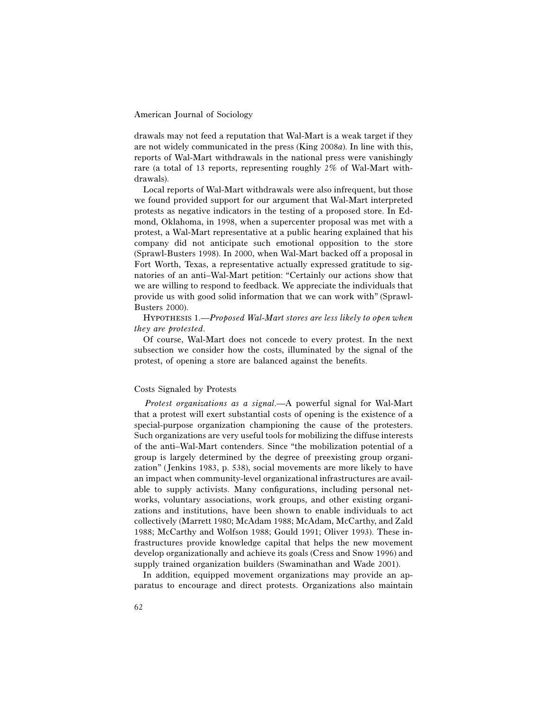drawals may not feed a reputation that Wal-Mart is a weak target if they are not widely communicated in the press (King 2008*a*). In line with this, reports of Wal-Mart withdrawals in the national press were vanishingly rare (a total of 13 reports, representing roughly 2% of Wal-Mart withdrawals).

Local reports of Wal-Mart withdrawals were also infrequent, but those we found provided support for our argument that Wal-Mart interpreted protests as negative indicators in the testing of a proposed store. In Edmond, Oklahoma, in 1998, when a supercenter proposal was met with a protest, a Wal-Mart representative at a public hearing explained that his company did not anticipate such emotional opposition to the store (Sprawl-Busters 1998). In 2000, when Wal-Mart backed off a proposal in Fort Worth, Texas, a representative actually expressed gratitude to signatories of an anti–Wal-Mart petition: "Certainly our actions show that we are willing to respond to feedback. We appreciate the individuals that provide us with good solid information that we can work with" (Sprawl-Busters 2000).

# Hypothesis 1.—*Proposed Wal-Mart stores are less likely to open when they are protested*.

Of course, Wal-Mart does not concede to every protest. In the next subsection we consider how the costs, illuminated by the signal of the protest, of opening a store are balanced against the benefits.

# Costs Signaled by Protests

*Protest organizations as a signal*.—A powerful signal for Wal-Mart that a protest will exert substantial costs of opening is the existence of a special-purpose organization championing the cause of the protesters. Such organizations are very useful tools for mobilizing the diffuse interests of the anti–Wal-Mart contenders. Since "the mobilization potential of a group is largely determined by the degree of preexisting group organization" (Jenkins 1983, p. 538), social movements are more likely to have an impact when community-level organizational infrastructures are available to supply activists. Many configurations, including personal networks, voluntary associations, work groups, and other existing organizations and institutions, have been shown to enable individuals to act collectively (Marrett 1980; McAdam 1988; McAdam, McCarthy, and Zald 1988; McCarthy and Wolfson 1988; Gould 1991; Oliver 1993). These infrastructures provide knowledge capital that helps the new movement develop organizationally and achieve its goals (Cress and Snow 1996) and supply trained organization builders (Swaminathan and Wade 2001).

In addition, equipped movement organizations may provide an apparatus to encourage and direct protests. Organizations also maintain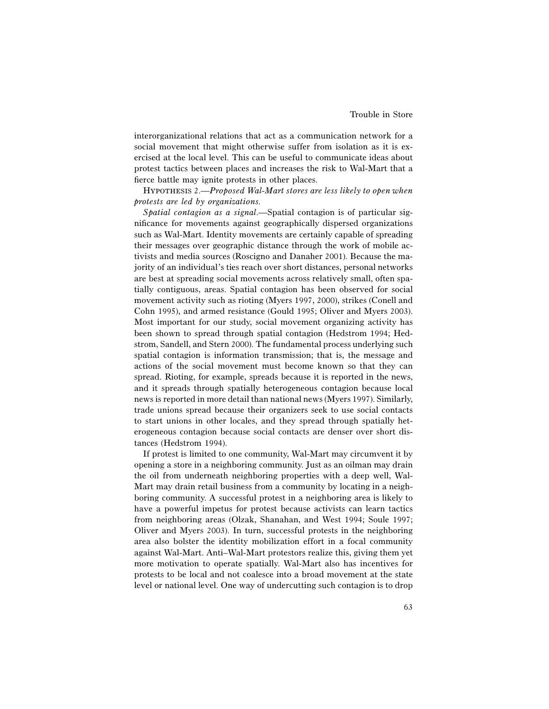interorganizational relations that act as a communication network for a social movement that might otherwise suffer from isolation as it is exercised at the local level. This can be useful to communicate ideas about protest tactics between places and increases the risk to Wal-Mart that a fierce battle may ignite protests in other places.

Hypothesis 2.—*Proposed Wal-Mart stores are less likely to open when protests are led by organizations.*

*Spatial contagion as a signal*.—Spatial contagion is of particular significance for movements against geographically dispersed organizations such as Wal-Mart. Identity movements are certainly capable of spreading their messages over geographic distance through the work of mobile activists and media sources (Roscigno and Danaher 2001). Because the majority of an individual's ties reach over short distances, personal networks are best at spreading social movements across relatively small, often spatially contiguous, areas. Spatial contagion has been observed for social movement activity such as rioting (Myers 1997, 2000), strikes (Conell and Cohn 1995), and armed resistance (Gould 1995; Oliver and Myers 2003). Most important for our study, social movement organizing activity has been shown to spread through spatial contagion (Hedstrom 1994; Hedstrom, Sandell, and Stern 2000). The fundamental process underlying such spatial contagion is information transmission; that is, the message and actions of the social movement must become known so that they can spread. Rioting, for example, spreads because it is reported in the news, and it spreads through spatially heterogeneous contagion because local news is reported in more detail than national news (Myers 1997). Similarly, trade unions spread because their organizers seek to use social contacts to start unions in other locales, and they spread through spatially heterogeneous contagion because social contacts are denser over short distances (Hedstrom 1994).

If protest is limited to one community, Wal-Mart may circumvent it by opening a store in a neighboring community. Just as an oilman may drain the oil from underneath neighboring properties with a deep well, Wal-Mart may drain retail business from a community by locating in a neighboring community. A successful protest in a neighboring area is likely to have a powerful impetus for protest because activists can learn tactics from neighboring areas (Olzak, Shanahan, and West 1994; Soule 1997; Oliver and Myers 2003). In turn, successful protests in the neighboring area also bolster the identity mobilization effort in a focal community against Wal-Mart. Anti–Wal-Mart protestors realize this, giving them yet more motivation to operate spatially. Wal-Mart also has incentives for protests to be local and not coalesce into a broad movement at the state level or national level. One way of undercutting such contagion is to drop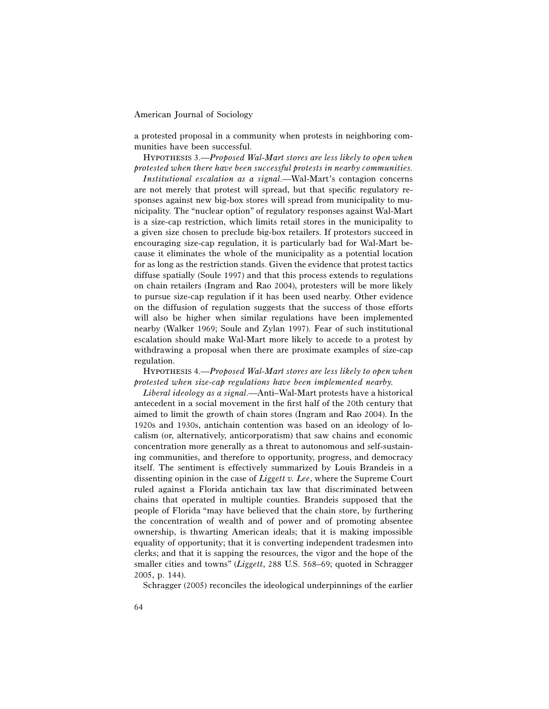a protested proposal in a community when protests in neighboring communities have been successful.

Hypothesis 3.—*Proposed Wal-Mart stores are less likely to open when protested when there have been successful protests in nearby communities.*

*Institutional escalation as a signal*.—Wal-Mart's contagion concerns are not merely that protest will spread, but that specific regulatory responses against new big-box stores will spread from municipality to municipality. The "nuclear option" of regulatory responses against Wal-Mart is a size-cap restriction, which limits retail stores in the municipality to a given size chosen to preclude big-box retailers. If protestors succeed in encouraging size-cap regulation, it is particularly bad for Wal-Mart because it eliminates the whole of the municipality as a potential location for as long as the restriction stands. Given the evidence that protest tactics diffuse spatially (Soule 1997) and that this process extends to regulations on chain retailers (Ingram and Rao 2004), protesters will be more likely to pursue size-cap regulation if it has been used nearby. Other evidence on the diffusion of regulation suggests that the success of those efforts will also be higher when similar regulations have been implemented nearby (Walker 1969; Soule and Zylan 1997). Fear of such institutional escalation should make Wal-Mart more likely to accede to a protest by withdrawing a proposal when there are proximate examples of size-cap regulation.

Hypothesis 4.—*Proposed Wal-Mart stores are less likely to open when protested when size-cap regulations have been implemented nearby.*

*Liberal ideology as a signal*.—Anti–Wal-Mart protests have a historical antecedent in a social movement in the first half of the 20th century that aimed to limit the growth of chain stores (Ingram and Rao 2004). In the 1920s and 1930s, antichain contention was based on an ideology of localism (or, alternatively, anticorporatism) that saw chains and economic concentration more generally as a threat to autonomous and self-sustaining communities, and therefore to opportunity, progress, and democracy itself. The sentiment is effectively summarized by Louis Brandeis in a dissenting opinion in the case of *Liggett v. Lee*, where the Supreme Court ruled against a Florida antichain tax law that discriminated between chains that operated in multiple counties. Brandeis supposed that the people of Florida "may have believed that the chain store, by furthering the concentration of wealth and of power and of promoting absentee ownership, is thwarting American ideals; that it is making impossible equality of opportunity; that it is converting independent tradesmen into clerks; and that it is sapping the resources, the vigor and the hope of the smaller cities and towns" (*Liggett*, 288 U.S. 568–69; quoted in Schragger 2005, p. 144).

Schragger (2005) reconciles the ideological underpinnings of the earlier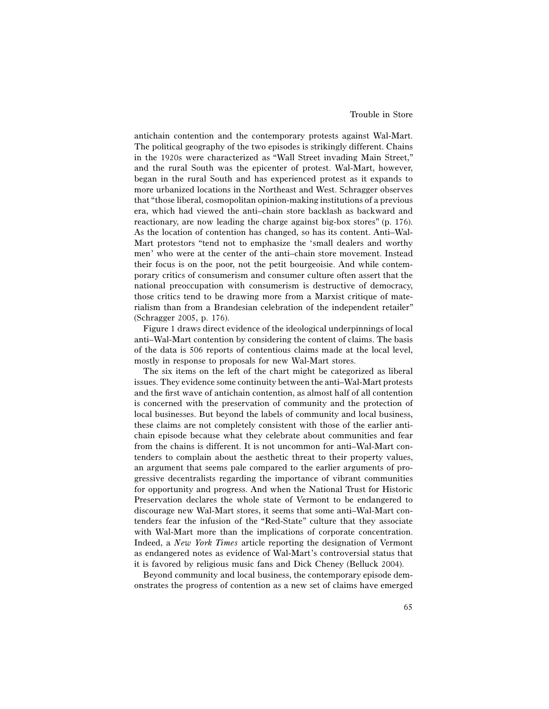antichain contention and the contemporary protests against Wal-Mart. The political geography of the two episodes is strikingly different. Chains in the 1920s were characterized as "Wall Street invading Main Street," and the rural South was the epicenter of protest. Wal-Mart, however, began in the rural South and has experienced protest as it expands to more urbanized locations in the Northeast and West. Schragger observes that "those liberal, cosmopolitan opinion-making institutions of a previous era, which had viewed the anti–chain store backlash as backward and reactionary, are now leading the charge against big-box stores" (p. 176). As the location of contention has changed, so has its content. Anti–Wal-Mart protestors "tend not to emphasize the 'small dealers and worthy men' who were at the center of the anti–chain store movement. Instead their focus is on the poor, not the petit bourgeoisie. And while contemporary critics of consumerism and consumer culture often assert that the national preoccupation with consumerism is destructive of democracy, those critics tend to be drawing more from a Marxist critique of materialism than from a Brandesian celebration of the independent retailer" (Schragger 2005, p. 176).

Figure 1 draws direct evidence of the ideological underpinnings of local anti–Wal-Mart contention by considering the content of claims. The basis of the data is 506 reports of contentious claims made at the local level, mostly in response to proposals for new Wal-Mart stores.

The six items on the left of the chart might be categorized as liberal issues. They evidence some continuity between the anti–Wal-Mart protests and the first wave of antichain contention, as almost half of all contention is concerned with the preservation of community and the protection of local businesses. But beyond the labels of community and local business, these claims are not completely consistent with those of the earlier antichain episode because what they celebrate about communities and fear from the chains is different. It is not uncommon for anti–Wal-Mart contenders to complain about the aesthetic threat to their property values, an argument that seems pale compared to the earlier arguments of progressive decentralists regarding the importance of vibrant communities for opportunity and progress. And when the National Trust for Historic Preservation declares the whole state of Vermont to be endangered to discourage new Wal-Mart stores, it seems that some anti–Wal-Mart contenders fear the infusion of the "Red-State" culture that they associate with Wal-Mart more than the implications of corporate concentration. Indeed, a *New York Times* article reporting the designation of Vermont as endangered notes as evidence of Wal-Mart's controversial status that it is favored by religious music fans and Dick Cheney (Belluck 2004).

Beyond community and local business, the contemporary episode demonstrates the progress of contention as a new set of claims have emerged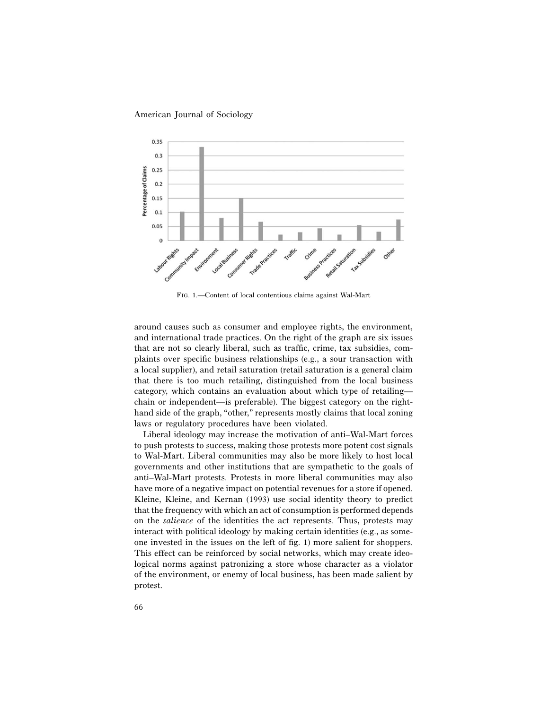American Journal of Sociology



Fig. 1.—Content of local contentious claims against Wal-Mart

around causes such as consumer and employee rights, the environment, and international trade practices. On the right of the graph are six issues that are not so clearly liberal, such as traffic, crime, tax subsidies, complaints over specific business relationships (e.g., a sour transaction with a local supplier), and retail saturation (retail saturation is a general claim that there is too much retailing, distinguished from the local business category, which contains an evaluation about which type of retailing chain or independent—is preferable). The biggest category on the righthand side of the graph, "other," represents mostly claims that local zoning laws or regulatory procedures have been violated.

Liberal ideology may increase the motivation of anti–Wal-Mart forces to push protests to success, making those protests more potent cost signals to Wal-Mart. Liberal communities may also be more likely to host local governments and other institutions that are sympathetic to the goals of anti–Wal-Mart protests. Protests in more liberal communities may also have more of a negative impact on potential revenues for a store if opened. Kleine, Kleine, and Kernan (1993) use social identity theory to predict that the frequency with which an act of consumption is performed depends on the *salience* of the identities the act represents. Thus, protests may interact with political ideology by making certain identities (e.g., as someone invested in the issues on the left of fig. 1) more salient for shoppers. This effect can be reinforced by social networks, which may create ideological norms against patronizing a store whose character as a violator of the environment, or enemy of local business, has been made salient by protest.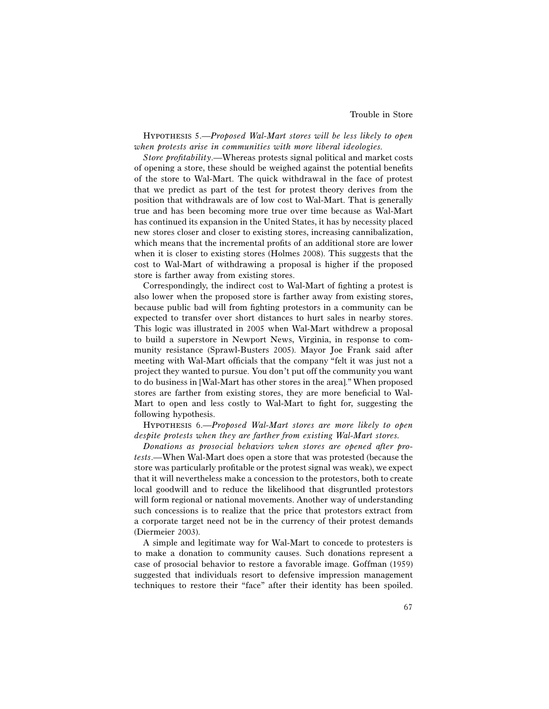Trouble in Store

Hypothesis 5.—*Proposed Wal-Mart stores will be less likely to open when protests arise in communities with more liberal ideologies.*

*Store profitability*.—Whereas protests signal political and market costs of opening a store, these should be weighed against the potential benefits of the store to Wal-Mart. The quick withdrawal in the face of protest that we predict as part of the test for protest theory derives from the position that withdrawals are of low cost to Wal-Mart. That is generally true and has been becoming more true over time because as Wal-Mart has continued its expansion in the United States, it has by necessity placed new stores closer and closer to existing stores, increasing cannibalization, which means that the incremental profits of an additional store are lower when it is closer to existing stores (Holmes 2008). This suggests that the cost to Wal-Mart of withdrawing a proposal is higher if the proposed store is farther away from existing stores.

Correspondingly, the indirect cost to Wal-Mart of fighting a protest is also lower when the proposed store is farther away from existing stores, because public bad will from fighting protestors in a community can be expected to transfer over short distances to hurt sales in nearby stores. This logic was illustrated in 2005 when Wal-Mart withdrew a proposal to build a superstore in Newport News, Virginia, in response to community resistance (Sprawl-Busters 2005). Mayor Joe Frank said after meeting with Wal-Mart officials that the company "felt it was just not a project they wanted to pursue. You don't put off the community you want to do business in [Wal-Mart has other stores in the area]." When proposed stores are farther from existing stores, they are more beneficial to Wal-Mart to open and less costly to Wal-Mart to fight for, suggesting the following hypothesis.

Hypothesis 6.—*Proposed Wal-Mart stores are more likely to open despite protests when they are farther from existing Wal-Mart stores.*

*Donations as prosocial behaviors when stores are opened after protests*.—When Wal-Mart does open a store that was protested (because the store was particularly profitable or the protest signal was weak), we expect that it will nevertheless make a concession to the protestors, both to create local goodwill and to reduce the likelihood that disgruntled protestors will form regional or national movements. Another way of understanding such concessions is to realize that the price that protestors extract from a corporate target need not be in the currency of their protest demands (Diermeier 2003).

A simple and legitimate way for Wal-Mart to concede to protesters is to make a donation to community causes. Such donations represent a case of prosocial behavior to restore a favorable image. Goffman (1959) suggested that individuals resort to defensive impression management techniques to restore their "face" after their identity has been spoiled.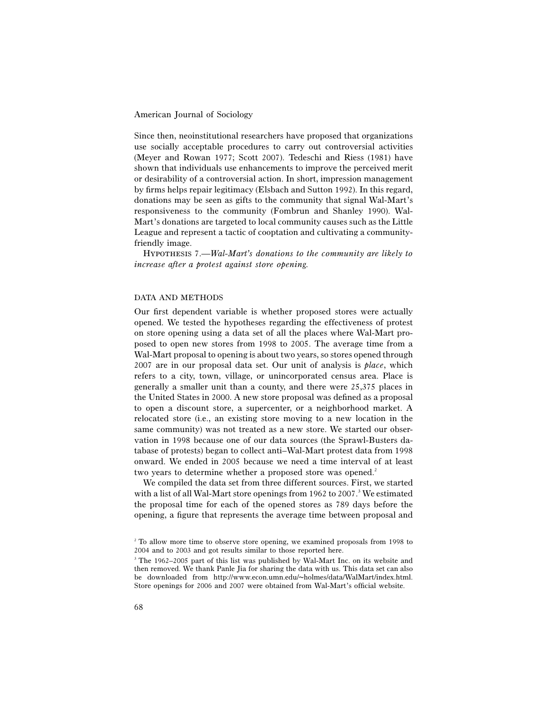Since then, neoinstitutional researchers have proposed that organizations use socially acceptable procedures to carry out controversial activities (Meyer and Rowan 1977; Scott 2007). Tedeschi and Riess (1981) have shown that individuals use enhancements to improve the perceived merit or desirability of a controversial action. In short, impression management by firms helps repair legitimacy (Elsbach and Sutton 1992). In this regard, donations may be seen as gifts to the community that signal Wal-Mart's responsiveness to the community (Fombrun and Shanley 1990). Wal-Mart's donations are targeted to local community causes such as the Little League and represent a tactic of cooptation and cultivating a communityfriendly image.

Hypothesis 7.—*Wal-Mart's donations to the community are likely to increase after a protest against store opening.*

#### DATA AND METHODS

Our first dependent variable is whether proposed stores were actually opened. We tested the hypotheses regarding the effectiveness of protest on store opening using a data set of all the places where Wal-Mart proposed to open new stores from 1998 to 2005. The average time from a Wal-Mart proposal to opening is about two years, so stores opened through 2007 are in our proposal data set. Our unit of analysis is *place*, which refers to a city, town, village, or unincorporated census area. Place is generally a smaller unit than a county, and there were 25,375 places in the United States in 2000. A new store proposal was defined as a proposal to open a discount store, a supercenter, or a neighborhood market. A relocated store (i.e., an existing store moving to a new location in the same community) was not treated as a new store. We started our observation in 1998 because one of our data sources (the Sprawl-Busters database of protests) began to collect anti–Wal-Mart protest data from 1998 onward. We ended in 2005 because we need a time interval of at least two years to determine whether a proposed store was opened.<sup>2</sup>

We compiled the data set from three different sources. First, we started with a list of all Wal-Mart store openings from 1962 to 2007.<sup>3</sup> We estimated the proposal time for each of the opened stores as 789 days before the opening, a figure that represents the average time between proposal and

<sup>&</sup>lt;sup>2</sup> To allow more time to observe store opening, we examined proposals from 1998 to 2004 and to 2003 and got results similar to those reported here.

<sup>3</sup> The 1962–2005 part of this list was published by Wal-Mart Inc. on its website and then removed. We thank Panle Jia for sharing the data with us. This data set can also be downloaded from http://www.econ.umn.edu/∼holmes/data/WalMart/index.html. Store openings for 2006 and 2007 were obtained from Wal-Mart's official website.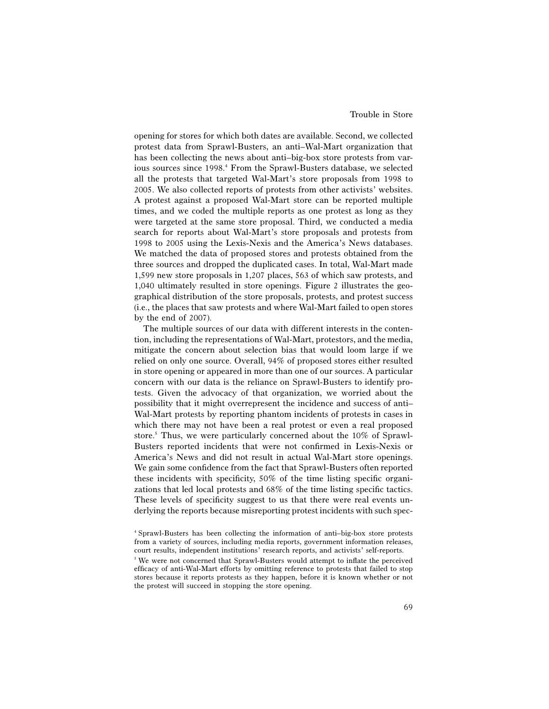#### Trouble in Store

opening for stores for which both dates are available. Second, we collected protest data from Sprawl-Busters, an anti–Wal-Mart organization that has been collecting the news about anti–big-box store protests from various sources since 1998.4 From the Sprawl-Busters database, we selected all the protests that targeted Wal-Mart's store proposals from 1998 to 2005. We also collected reports of protests from other activists' websites. A protest against a proposed Wal-Mart store can be reported multiple times, and we coded the multiple reports as one protest as long as they were targeted at the same store proposal. Third, we conducted a media search for reports about Wal-Mart's store proposals and protests from 1998 to 2005 using the Lexis-Nexis and the America's News databases. We matched the data of proposed stores and protests obtained from the three sources and dropped the duplicated cases. In total, Wal-Mart made 1,599 new store proposals in 1,207 places, 563 of which saw protests, and 1,040 ultimately resulted in store openings. Figure 2 illustrates the geographical distribution of the store proposals, protests, and protest success (i.e., the places that saw protests and where Wal-Mart failed to open stores by the end of 2007).

The multiple sources of our data with different interests in the contention, including the representations of Wal-Mart, protestors, and the media, mitigate the concern about selection bias that would loom large if we relied on only one source. Overall, 94% of proposed stores either resulted in store opening or appeared in more than one of our sources. A particular concern with our data is the reliance on Sprawl-Busters to identify protests. Given the advocacy of that organization, we worried about the possibility that it might overrepresent the incidence and success of anti– Wal-Mart protests by reporting phantom incidents of protests in cases in which there may not have been a real protest or even a real proposed store.5 Thus, we were particularly concerned about the 10% of Sprawl-Busters reported incidents that were not confirmed in Lexis-Nexis or America's News and did not result in actual Wal-Mart store openings. We gain some confidence from the fact that Sprawl-Busters often reported these incidents with specificity, 50% of the time listing specific organizations that led local protests and 68% of the time listing specific tactics. These levels of specificity suggest to us that there were real events underlying the reports because misreporting protest incidents with such spec-

<sup>4</sup> Sprawl-Busters has been collecting the information of anti–big-box store protests from a variety of sources, including media reports, government information releases, court results, independent institutions' research reports, and activists' self-reports.

<sup>&</sup>lt;sup>5</sup> We were not concerned that Sprawl-Busters would attempt to inflate the perceived efficacy of anti-Wal-Mart efforts by omitting reference to protests that failed to stop stores because it reports protests as they happen, before it is known whether or not the protest will succeed in stopping the store opening.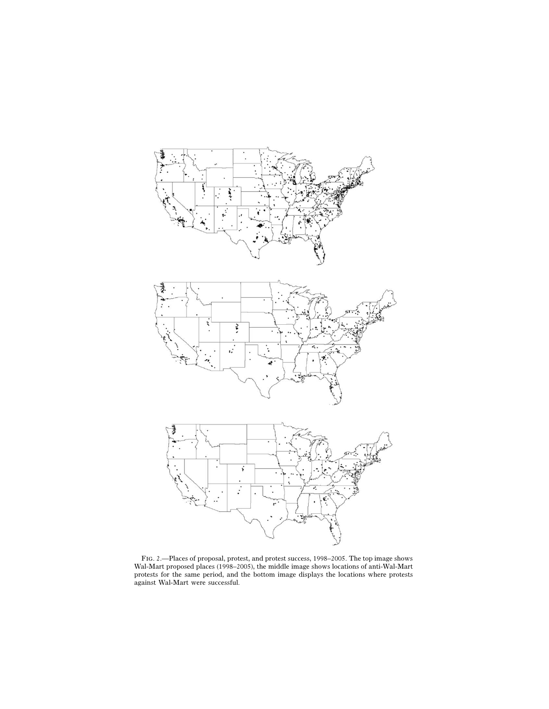

Fig. 2.—Places of proposal, protest, and protest success, 1998–2005. The top image shows Wal-Mart proposed places (1998–2005), the middle image shows locations of anti-Wal-Mart protests for the same period, and the bottom image displays the locations where protests against Wal-Mart were successful.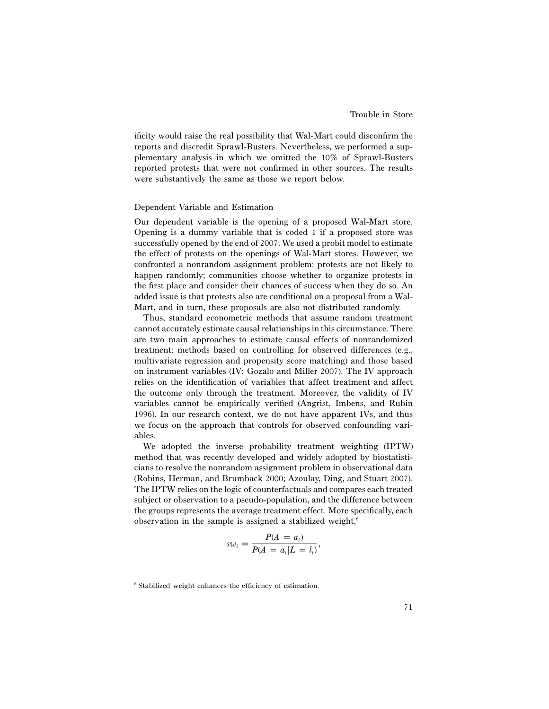ificity would raise the real possibility that Wal-Mart could disconfirm the reports and discredit Sprawl-Busters. Nevertheless, we performed a supplementary analysis in which we omitted the 10% of Sprawl-Busters reported protests that were not confirmed in other sources. The results were substantively the same as those we report below.

#### Dependent Variable and Estimation

Our dependent variable is the opening of a proposed Wal-Mart store. Opening is a dummy variable that is coded 1 if a proposed store was successfully opened by the end of 2007. We used a probit model to estimate the effect of protests on the openings of Wal-Mart stores. However, we confronted a nonrandom assignment problem: protests are not likely to happen randomly; communities choose whether to organize protests in the first place and consider their chances of success when they do so. An added issue is that protests also are conditional on a proposal from a Wal-Mart, and in turn, these proposals are also not distributed randomly.

Thus, standard econometric methods that assume random treatment cannot accurately estimate causal relationships in this circumstance. There are two main approaches to estimate causal effects of nonrandomized treatment: methods based on controlling for observed differences (e.g., multivariate regression and propensity score matching) and those based on instrument variables (IV; Gozalo and Miller 2007). The IV approach relies on the identification of variables that affect treatment and affect the outcome only through the treatment. Moreover, the validity of IV variables cannot be empirically verified (Angrist, Imbens, and Rubin 1996). In our research context, we do not have apparent IVs, and thus we focus on the approach that controls for observed confounding variables.

We adopted the inverse probability treatment weighting (IPTW) method that was recently developed and widely adopted by biostatisticians to resolve the nonrandom assignment problem in observational data (Robins, Herman, and Brumback 2000; Azoulay, Ding, and Stuart 2007). The IPTW relies on the logic of counterfactuals and compares each treated subject or observation to a pseudo-population, and the difference between the groups represents the average treatment effect. More specifically, each observation in the sample is assigned a stabilized weight, $6$ 

$$
sw_i = \frac{P(A = a_i)}{P(A = a_i | L = l_i)},
$$

<sup>6</sup> Stabilized weight enhances the efficiency of estimation.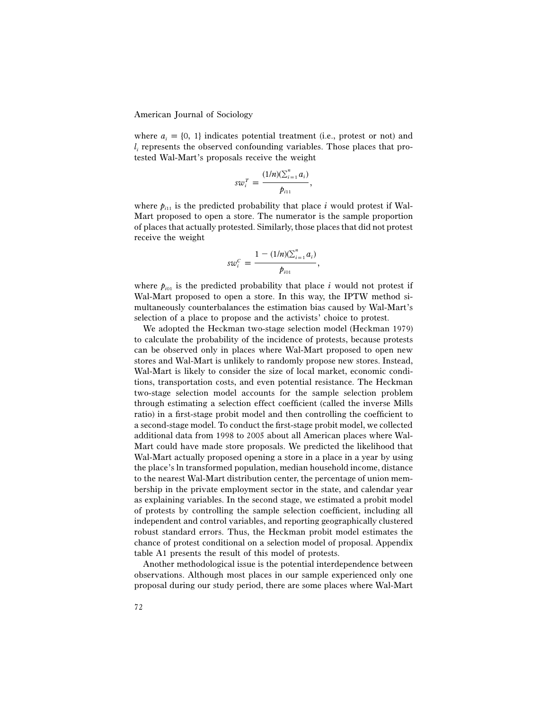where  $a_i = \{0, 1\}$  indicates potential treatment (i.e., protest or not) and  $l_i$  represents the observed confounding variables. Those places that protested Wal-Mart's proposals receive the weight

$$
sw_i^T = \frac{(1/n)(\sum_{i=1}^n a_i)}{p_{i11}},
$$

where  $p_{i1}$  is the predicted probability that place *i* would protest if Wal-Mart proposed to open a store. The numerator is the sample proportion of places that actually protested. Similarly, those places that did not protest receive the weight

$$
sw_i^C = \frac{1 - (1/n)(\sum_{i=1}^n a_i)}{p_{i01}},
$$

where  $p_{i01}$  is the predicted probability that place *i* would not protest if Wal-Mart proposed to open a store. In this way, the IPTW method simultaneously counterbalances the estimation bias caused by Wal-Mart's selection of a place to propose and the activists' choice to protest.

We adopted the Heckman two-stage selection model (Heckman 1979) to calculate the probability of the incidence of protests, because protests can be observed only in places where Wal-Mart proposed to open new stores and Wal-Mart is unlikely to randomly propose new stores. Instead, Wal-Mart is likely to consider the size of local market, economic conditions, transportation costs, and even potential resistance. The Heckman two-stage selection model accounts for the sample selection problem through estimating a selection effect coefficient (called the inverse Mills ratio) in a first-stage probit model and then controlling the coefficient to a second-stage model. To conduct the first-stage probit model, we collected additional data from 1998 to 2005 about all American places where Wal-Mart could have made store proposals. We predicted the likelihood that Wal-Mart actually proposed opening a store in a place in a year by using the place's ln transformed population, median household income, distance to the nearest Wal-Mart distribution center, the percentage of union membership in the private employment sector in the state, and calendar year as explaining variables. In the second stage, we estimated a probit model of protests by controlling the sample selection coefficient, including all independent and control variables, and reporting geographically clustered robust standard errors. Thus, the Heckman probit model estimates the chance of protest conditional on a selection model of proposal. Appendix table A1 presents the result of this model of protests.

Another methodological issue is the potential interdependence between observations. Although most places in our sample experienced only one proposal during our study period, there are some places where Wal-Mart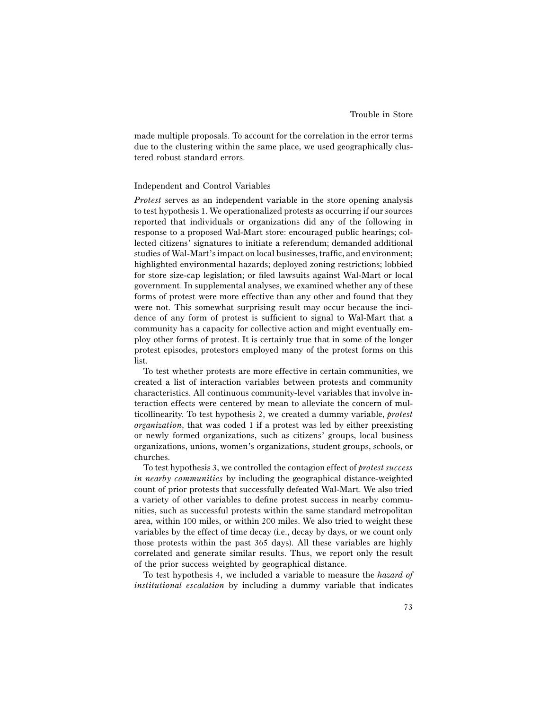made multiple proposals. To account for the correlation in the error terms due to the clustering within the same place, we used geographically clustered robust standard errors.

#### Independent and Control Variables

*Protest* serves as an independent variable in the store opening analysis to test hypothesis 1. We operationalized protests as occurring if our sources reported that individuals or organizations did any of the following in response to a proposed Wal-Mart store: encouraged public hearings; collected citizens' signatures to initiate a referendum; demanded additional studies of Wal-Mart's impact on local businesses, traffic, and environment; highlighted environmental hazards; deployed zoning restrictions; lobbied for store size-cap legislation; or filed lawsuits against Wal-Mart or local government. In supplemental analyses, we examined whether any of these forms of protest were more effective than any other and found that they were not. This somewhat surprising result may occur because the incidence of any form of protest is sufficient to signal to Wal-Mart that a community has a capacity for collective action and might eventually employ other forms of protest. It is certainly true that in some of the longer protest episodes, protestors employed many of the protest forms on this list.

To test whether protests are more effective in certain communities, we created a list of interaction variables between protests and community characteristics. All continuous community-level variables that involve interaction effects were centered by mean to alleviate the concern of multicollinearity. To test hypothesis 2, we created a dummy variable, *protest organization*, that was coded 1 if a protest was led by either preexisting or newly formed organizations, such as citizens' groups, local business organizations, unions, women's organizations, student groups, schools, or churches.

To test hypothesis 3, we controlled the contagion effect of *protest success in nearby communities* by including the geographical distance-weighted count of prior protests that successfully defeated Wal-Mart. We also tried a variety of other variables to define protest success in nearby communities, such as successful protests within the same standard metropolitan area, within 100 miles, or within 200 miles. We also tried to weight these variables by the effect of time decay (i.e., decay by days, or we count only those protests within the past 365 days). All these variables are highly correlated and generate similar results. Thus, we report only the result of the prior success weighted by geographical distance.

To test hypothesis 4, we included a variable to measure the *hazard of institutional escalation* by including a dummy variable that indicates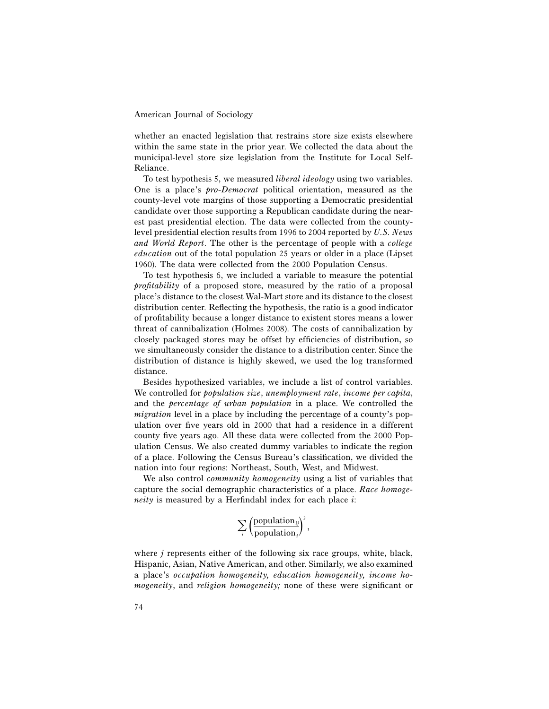whether an enacted legislation that restrains store size exists elsewhere within the same state in the prior year. We collected the data about the municipal-level store size legislation from the Institute for Local Self-Reliance.

To test hypothesis 5, we measured *liberal ideology* using two variables. One is a place's *pro-Democrat* political orientation, measured as the county-level vote margins of those supporting a Democratic presidential candidate over those supporting a Republican candidate during the nearest past presidential election. The data were collected from the countylevel presidential election results from 1996 to 2004 reported by *U.S. News and World Report*. The other is the percentage of people with a *college education* out of the total population 25 years or older in a place (Lipset 1960). The data were collected from the 2000 Population Census.

To test hypothesis 6, we included a variable to measure the potential *profitability* of a proposed store, measured by the ratio of a proposal place's distance to the closest Wal-Mart store and its distance to the closest distribution center. Reflecting the hypothesis, the ratio is a good indicator of profitability because a longer distance to existent stores means a lower threat of cannibalization (Holmes 2008). The costs of cannibalization by closely packaged stores may be offset by efficiencies of distribution, so we simultaneously consider the distance to a distribution center. Since the distribution of distance is highly skewed, we used the log transformed distance.

Besides hypothesized variables, we include a list of control variables. We controlled for *population size*, *unemployment rate*, *income per capita*, and the *percentage of urban population* in a place. We controlled the *migration* level in a place by including the percentage of a county's population over five years old in 2000 that had a residence in a different county five years ago. All these data were collected from the 2000 Population Census. We also created dummy variables to indicate the region of a place. Following the Census Bureau's classification, we divided the nation into four regions: Northeast, South, West, and Midwest.

We also control *community homogeneity* using a list of variables that capture the social demographic characteristics of a place. *Race homogeneity* is measured by a Herfindahl index for each place *i*:

$$
\sum_{i} \left( \frac{\text{population}_{ij}}{\text{population}_{i}} \right)^{2},
$$

where *j* represents either of the following six race groups, white, black, Hispanic, Asian, Native American, and other. Similarly, we also examined a place's *occupation homogeneity, education homogeneity, income homogeneity*, and *religion homogeneity;* none of these were significant or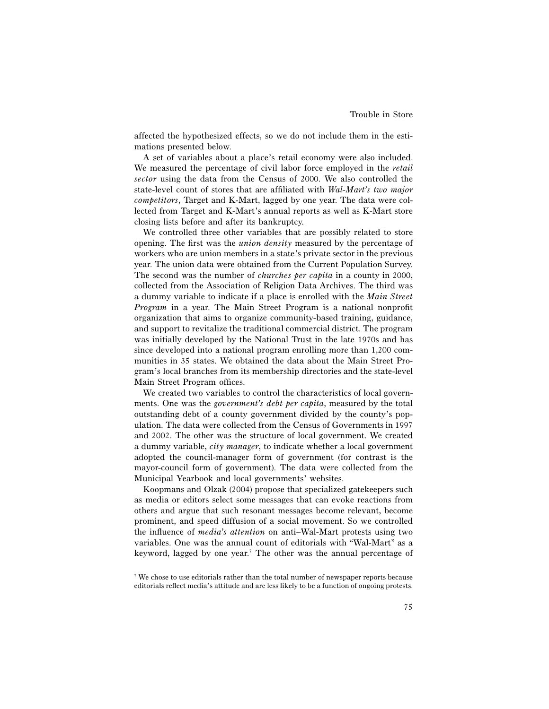affected the hypothesized effects, so we do not include them in the estimations presented below.

A set of variables about a place's retail economy were also included. We measured the percentage of civil labor force employed in the *retail sector* using the data from the Census of 2000. We also controlled the state-level count of stores that are affiliated with *Wal-Mart's two major competitors*, Target and K-Mart, lagged by one year. The data were collected from Target and K-Mart's annual reports as well as K-Mart store closing lists before and after its bankruptcy.

We controlled three other variables that are possibly related to store opening. The first was the *union density* measured by the percentage of workers who are union members in a state's private sector in the previous year. The union data were obtained from the Current Population Survey. The second was the number of *churches per capita* in a county in 2000, collected from the Association of Religion Data Archives. The third was a dummy variable to indicate if a place is enrolled with the *Main Street Program* in a year. The Main Street Program is a national nonprofit organization that aims to organize community-based training, guidance, and support to revitalize the traditional commercial district. The program was initially developed by the National Trust in the late 1970s and has since developed into a national program enrolling more than 1,200 communities in 35 states. We obtained the data about the Main Street Program's local branches from its membership directories and the state-level Main Street Program offices.

We created two variables to control the characteristics of local governments. One was the *government's debt per capita*, measured by the total outstanding debt of a county government divided by the county's population. The data were collected from the Census of Governments in 1997 and 2002. The other was the structure of local government. We created a dummy variable, *city manager*, to indicate whether a local government adopted the council-manager form of government (for contrast is the mayor-council form of government). The data were collected from the Municipal Yearbook and local governments' websites.

Koopmans and Olzak (2004) propose that specialized gatekeepers such as media or editors select some messages that can evoke reactions from others and argue that such resonant messages become relevant, become prominent, and speed diffusion of a social movement. So we controlled the influence of *media's attention* on anti–Wal-Mart protests using two variables. One was the annual count of editorials with "Wal-Mart" as a keyword, lagged by one year.<sup>7</sup> The other was the annual percentage of

<sup>7</sup> We chose to use editorials rather than the total number of newspaper reports because editorials reflect media's attitude and are less likely to be a function of ongoing protests.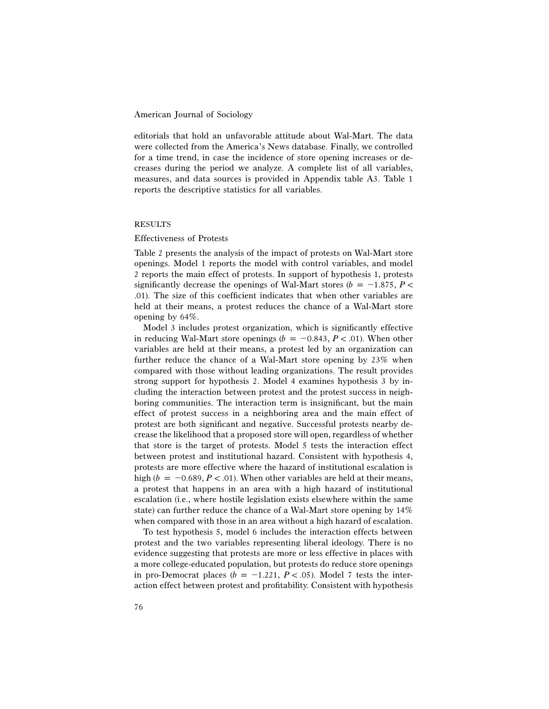editorials that hold an unfavorable attitude about Wal-Mart. The data were collected from the America's News database. Finally, we controlled for a time trend, in case the incidence of store opening increases or decreases during the period we analyze. A complete list of all variables, measures, and data sources is provided in Appendix table A3. Table 1 reports the descriptive statistics for all variables.

#### RESULTS

#### Effectiveness of Protests

Table 2 presents the analysis of the impact of protests on Wal-Mart store openings. Model 1 reports the model with control variables, and model 2 reports the main effect of protests. In support of hypothesis 1, protests significantly decrease the openings of Wal-Mart stores ( $b = -1.875$ ,  $P <$ .01). The size of this coefficient indicates that when other variables are held at their means, a protest reduces the chance of a Wal-Mart store opening by 64%.

Model 3 includes protest organization, which is significantly effective in reducing Wal-Mart store openings ( $b = -0.843$ ,  $P < .01$ ). When other variables are held at their means, a protest led by an organization can further reduce the chance of a Wal-Mart store opening by 23% when compared with those without leading organizations. The result provides strong support for hypothesis 2. Model 4 examines hypothesis 3 by including the interaction between protest and the protest success in neighboring communities. The interaction term is insignificant, but the main effect of protest success in a neighboring area and the main effect of protest are both significant and negative. Successful protests nearby decrease the likelihood that a proposed store will open, regardless of whether that store is the target of protests. Model 5 tests the interaction effect between protest and institutional hazard. Consistent with hypothesis 4, protests are more effective where the hazard of institutional escalation is high ( $b = -0.689$ ,  $P < .01$ ). When other variables are held at their means, a protest that happens in an area with a high hazard of institutional escalation (i.e., where hostile legislation exists elsewhere within the same state) can further reduce the chance of a Wal-Mart store opening by 14% when compared with those in an area without a high hazard of escalation.

To test hypothesis 5, model 6 includes the interaction effects between protest and the two variables representing liberal ideology. There is no evidence suggesting that protests are more or less effective in places with a more college-educated population, but protests do reduce store openings in pro-Democrat places ( $b = -1.221$ ,  $P < .05$ ). Model 7 tests the interaction effect between protest and profitability. Consistent with hypothesis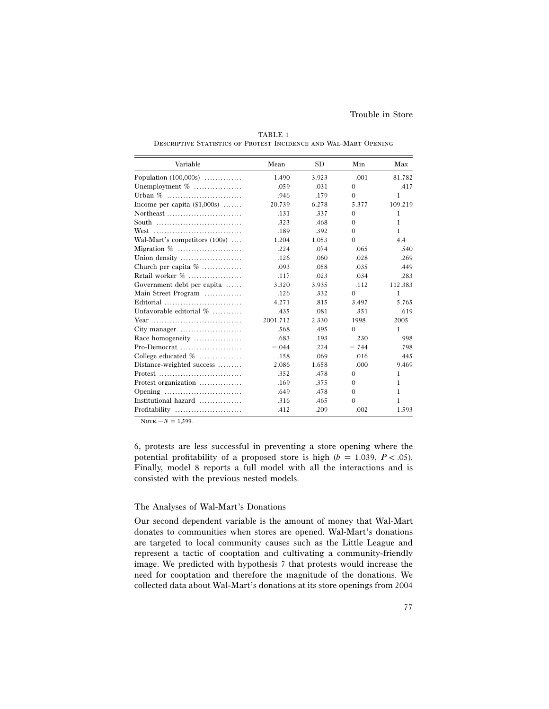| Variable                                                     | Mean     | SD    | Min            | Max          |
|--------------------------------------------------------------|----------|-------|----------------|--------------|
| Population $(100,000s)$                                      | 1.490    | 3.923 | .001           | 81.782       |
| Unemployment $\%$                                            | .059     | .031  | $\overline{0}$ | .417         |
|                                                              | .946     | .179  | $\mathbf{0}$   | $\mathbf{1}$ |
| Income per capita $(\$1,000s)$                               | 20.739   | 6.278 | 5.377          | 109.219      |
| Northeast $\dots\dots\dots\dots\dots\dots\dots\dots\dots$    | .131     | .337  | $\Omega$       | $\mathbf{1}$ |
| South                                                        | .323     | .468  | $\mathbf{0}$   | $\mathbf{1}$ |
| West                                                         | .189     | .392  | $\Omega$       | $\mathbf{1}$ |
| Wal-Mart's competitors (100s)                                | 1.204    | 1.053 | $\Omega$       | 4.4          |
| Migration $\%$                                               | .224     | .074  | .065           | .540         |
| Union density                                                | .126     | .060  | .028           | .269         |
| Church per capita $\%$                                       | .093     | .058  | .035           | .449         |
| Retail worker $\%$                                           | .117     | .023  | .034           | .283         |
| Government debt per capita                                   | 3.320    | 3.935 | .112           | 112.383      |
| Main Street Program                                          | .126     | .332  | $\Omega$       | $\mathbf{1}$ |
| Editorial                                                    | 4.271    | .815  | 3.497          | 5.765        |
| Unfavorable editorial $\%$                                   | .435     | .081  | .351           | .619         |
| Year                                                         | 2001.712 | 2.330 | 1998           | 2005         |
| City manager $\dots\dots\dots\dots\dots\dots\dots$           | .568     | .495  | $\Omega$       | $\mathbf{1}$ |
| Race homogeneity                                             | .683     | .193  | .230           | .998         |
| Pro-Democrat                                                 | $-.044$  | .224  | $-.744$        | .798         |
| College educated $\%$                                        | .158     | .069  | .016           | .445         |
| Distance-weighted success                                    | 2.086    | 1.658 | .000           | 9.469        |
|                                                              | .352     | .478  | $\Omega$       | $\mathbf{1}$ |
| Protest organization                                         | .169     | .375  | $\mathbf{0}$   | $\mathbf{1}$ |
| Opening $\dots\dots\dots\dots\dots\dots\dots\dots\dots\dots$ | .649     | .478  | $\Omega$       | $\mathbf{1}$ |
| Institutional hazard                                         | .316     | .465  | $\Omega$       | $\mathbf{1}$ |
| Profitability                                                | .412     | .209  | .002           | 1.593        |

TABLE 1 Descriptive Statistics of Protest Incidence and Wal-Mart Opening

 $NOTE. - N = 1,599.$ 

6, protests are less successful in preventing a store opening where the potential profitability of a proposed store is high ( $b = 1.039$ ,  $P < .05$ ). Finally, model 8 reports a full model with all the interactions and is consisted with the previous nested models.

# The Analyses of Wal-Mart's Donations

Our second dependent variable is the amount of money that Wal-Mart donates to communities when stores are opened. Wal-Mart's donations are targeted to local community causes such as the Little League and represent a tactic of cooptation and cultivating a community-friendly image. We predicted with hypothesis 7 that protests would increase the need for cooptation and therefore the magnitude of the donations. We collected data about Wal-Mart's donations at its store openings from 2004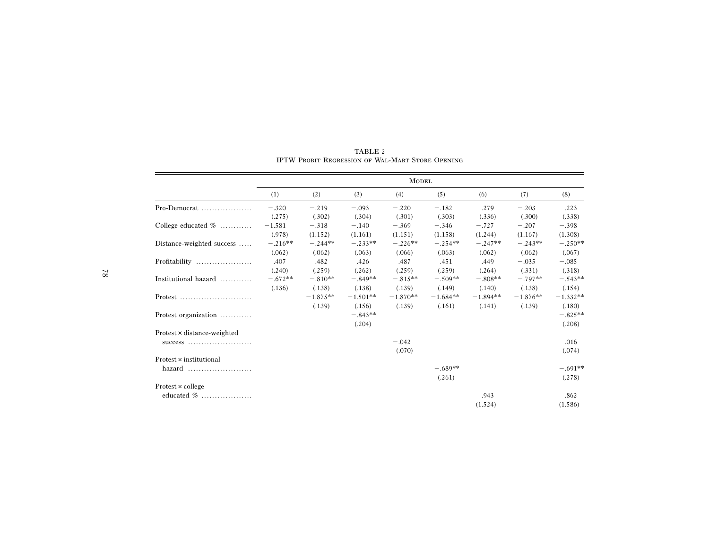|                                                    |           |            |            | <b>MODEL</b> |            |            |            |            |
|----------------------------------------------------|-----------|------------|------------|--------------|------------|------------|------------|------------|
|                                                    | (1)       | (2)        | (3)        | (4)          | (5)        | (6)        | (7)        | (8)        |
| Pro-Democrat                                       | $-.320$   | $-.219$    | $-.093$    | $-.220$      | $-.182$    | .279       | $-.203$    | .223       |
|                                                    | (.275)    | (.302)     | (.304)     | (.301)       | (.303)     | (.336)     | (.300)     | (.338)     |
| College educated $\%$                              | $-1.581$  | $-.318$    | $-.140$    | $-.369$      | $-.346$    | $-.727$    | $-.207$    | $-.398$    |
|                                                    | (.978)    | (1.152)    | (1.161)    | (1.151)      | (1.158)    | (1.244)    | (1.167)    | (1.308)    |
| Distance-weighted success                          | $-.216**$ | $-.244**$  | $-.233**$  | $-.226**$    | $-.254**$  | $-.247**$  | $-.243**$  | $-.250**$  |
|                                                    | (.062)    | (.062)     | (.063)     | (.066)       | (.063)     | (.062)     | (.062)     | (.067)     |
| Profitability                                      | .407      | .482       | .426       | .487         | .451       | .449       | $-.035$    | $-.085$    |
|                                                    | (.240)    | (.259)     | (.262)     | (.259)       | (.259)     | (.264)     | (.331)     | (.318)     |
| Institutional hazard                               | $-.672**$ | $-.810**$  | $-.849**$  | $-.815**$    | $-.509**$  | $-.808**$  | $-.797**$  | $-.543**$  |
|                                                    | (.136)    | (.138)     | (.138)     | (.139)       | (.149)     | (.140)     | (.138)     | (.154)     |
| $Protest$                                          |           | $-1.875**$ | $-1.501**$ | $-1.870**$   | $-1.684**$ | $-1.894**$ | $-1.876**$ | $-1.332**$ |
|                                                    |           | (.139)     | (.156)     | (.139)       | (.161)     | (.141)     | (.139)     | (.180)     |
| Protest organization                               |           |            | $-.843**$  |              |            |            |            | $-.825**$  |
|                                                    |           |            | (.204)     |              |            |            |            | (.208)     |
| Protest × distance-weighted                        |           |            |            |              |            |            |            |            |
| $success$                                          |           |            |            | $-.042$      |            |            |            | .016       |
|                                                    |           |            |            | (.070)       |            |            |            | (.074)     |
| Protest × institutional                            |           |            |            |              |            |            |            |            |
| hazard $\dots \dots \dots \dots \dots \dots \dots$ |           |            |            |              | $-.689**$  |            |            | $-.691**$  |
|                                                    |           |            |            |              | (.261)     |            |            | (.278)     |
| Protest × college                                  |           |            |            |              |            |            |            |            |
| educated $\%$                                      |           |            |            |              |            | .943       |            | .862       |
|                                                    |           |            |            |              |            | (1.524)    |            | (1.586)    |

TABLE 2 IPTW Probit Regression of Wal-Mart Store Opening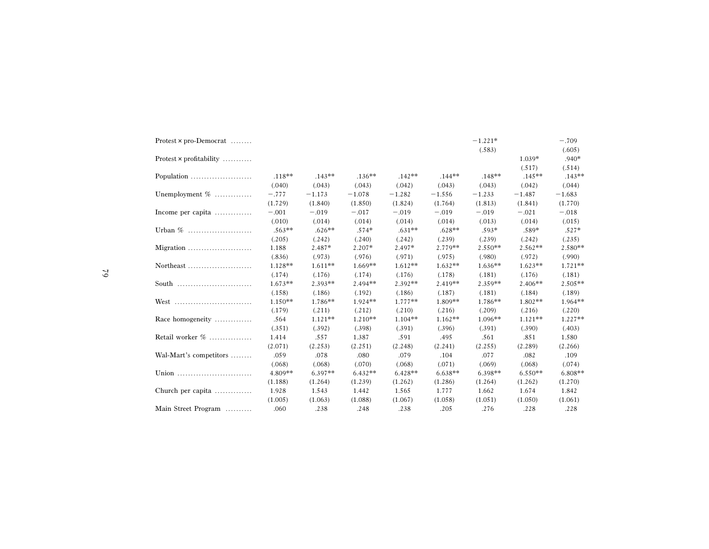| Protest $\times$ pro-Democrat                                  |           |           |           |           |           | $-1.221*$ |           | $-.709$   |
|----------------------------------------------------------------|-----------|-----------|-----------|-----------|-----------|-----------|-----------|-----------|
|                                                                |           |           |           |           |           | (.583)    |           | (.605)    |
| Protest $\times$ profitability                                 |           |           |           |           |           |           | 1.039*    | $.940*$   |
|                                                                |           |           |           |           |           |           | (.517)    | (.514)    |
| Population                                                     | $.118**$  | $.143**$  | $.136**$  | $.142**$  | $.144**$  | $.148**$  | $.145**$  | $.143**$  |
|                                                                | (.040)    | (.043)    | (.043)    | (.042)    | (.043)    | (.043)    | (.042)    | (.044)    |
| Unemployment $\%$                                              | $-.777$   | $-1.173$  | $-1.078$  | $-1.282$  | $-1.556$  | $-1.233$  | $-1.487$  | $-1.683$  |
|                                                                | (1.729)   | (1.840)   | (1.850)   | (1.824)   | (1.764)   | (1.813)   | (1.841)   | (1.770)   |
| Income per capita                                              | $-.001$   | $-.019$   | $-.017$   | $-.019$   | $-.019$   | $-.019$   | $-.021$   | $-.018$   |
|                                                                | (.010)    | (.014)    | (.014)    | (.014)    | (.014)    | (.013)    | (.014)    | (.015)    |
| Urban $\%$                                                     | $.563**$  | $.626**$  | $.574*$   | $.631**$  | $.628**$  | $.593*$   | .589*     | $.527*$   |
|                                                                | (.205)    | (.242)    | (.240)    | (.242)    | (.239)    | (.239)    | (.242)    | (.235)    |
| Migration                                                      | 1.188     | 2.487*    | 2.207*    | 2.497*    | $2.779**$ | $2.550**$ | $2.562**$ | 2.580**   |
|                                                                | (.836)    | (.973)    | (.976)    | (.971)    | (.975)    | (.980)    | (.972)    | (.990)    |
| Northeast $\dots\dots\dots\dots\dots\dots\dots\dots$           | $1.128**$ | $1.611**$ | $1.669**$ | $1.612**$ | $1.632**$ | $1.636**$ | $1.623**$ | $1.721**$ |
|                                                                | (.174)    | (.176)    | (.174)    | (.176)    | (.178)    | (.181)    | (.176)    | (.181)    |
| South                                                          | $1.673**$ | $2.393**$ | $2.494**$ | 2.392**   | 2.419**   | $2.359**$ | $2.406**$ | $2.505**$ |
|                                                                | (.158)    | (.186)    | (.192)    | (.186)    | (.187)    | (.181)    | (.184)    | (.189)    |
| West $\dots\dots\dots\dots\dots\dots\dots\dots\dots\dots\dots$ | $1.150**$ | 1.786**   | $1.924**$ | $1.777**$ | 1.809**   | 1.786**   | $1.802**$ | $1.964**$ |
|                                                                | (.179)    | (.211)    | (.212)    | (.210)    | (.216)    | (.209)    | (.216)    | (.220)    |
| Race homogeneity                                               | .564      | $1.121**$ | $1.210**$ | $1.104**$ | $1.162**$ | 1.096**   | $1.121**$ | 1.227**   |
|                                                                | (.351)    | (.392)    | (.398)    | (.391)    | (.396)    | (.391)    | (.390)    | (.403)    |
| Retail worker %                                                | 1.414     | .557      | 1.387     | .591      | .495      | .561      | .851      | 1.580     |
|                                                                | (2.071)   | (2.253)   | (2.251)   | (2.248)   | (2.241)   | (2.255)   | (2.289)   | (2.266)   |
| Wal-Mart's competitors                                         | .059      | .078      | .080      | .079      | .104      | .077      | .082      | .109      |
|                                                                | (.068)    | (.068)    | (.070)    | (.068)    | (.071)    | (.069)    | (.068)    | (.074)    |
| Union                                                          | 4.809**   | $6.397**$ | $6.432**$ | $6.428**$ | $6.638**$ | $6.398**$ | $6.550**$ | $6.808**$ |
|                                                                | (1.188)   | (1.264)   | (1.239)   | (1.262)   | (1.286)   | (1.264)   | (1.262)   | (1.270)   |
| Church per capita $\dots\dots\dots\dots$                       | 1.928     | 1.543     | 1.442     | 1.565     | 1.777     | 1.662     | 1.674     | 1.842     |
|                                                                | (1.005)   | (1.063)   | (1.088)   | (1.067)   | (1.058)   | (1.051)   | (1.050)   | (1.061)   |
| Main Street Program                                            | .060      | .238      | .248      | .238      | .205      | .276      | .228      | .228      |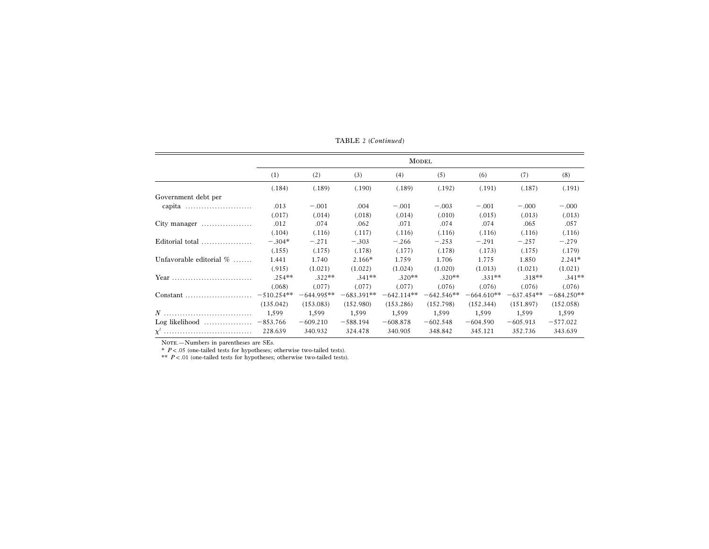|                                               |              |              |              |              | <b>MODEL</b> |              |              |              |
|-----------------------------------------------|--------------|--------------|--------------|--------------|--------------|--------------|--------------|--------------|
|                                               | (1)          | (2)          | (3)          | (4)          | (5)          | (6)          | (7)          | (8)          |
|                                               | (.184)       | (.189)       | (.190)       | (.189)       | (.192)       | (.191)       | (.187)       | (.191)       |
| Government debt per                           |              |              |              |              |              |              |              |              |
| capita                                        | .013         | $-.001$      | .004         | $-.001$      | $-.003$      | $-.001$      | $-.000$      | $-.000$      |
|                                               | (.017)       | (.014)       | (.018)       | (.014)       | (.010)       | (.015)       | (.013)       | (.013)       |
| City manager $\dots\dots\dots\dots\dots\dots$ | .012         | .074         | .062         | .071         | .074         | .074         | .065         | .057         |
|                                               | (.104)       | (.116)       | (.117)       | (.116)       | (.116)       | (.116)       | (.116)       | (.116)       |
| Editorial total                               | $-.304*$     | $-.271$      | $-.303$      | $-.266$      | $-.253$      | $-.291$      | $-.257$      | $-.279$      |
|                                               | (.155)       | (.175)       | (.178)       | (.177)       | (.178)       | (.173)       | (.175)       | (.179)       |
| Unfavorable editorial $\%$                    | 1.441        | 1.740        | $2.166*$     | 1.759        | 1.706        | 1.775        | 1.850        | $2.241*$     |
|                                               | (.915)       | (1.021)      | (1.022)      | (1.024)      | (1.020)      | (1.013)      | (1.021)      | (1.021)      |
| Year                                          | $.254**$     | $.322**$     | $.341**$     | $.320**$     | $.320**$     | $.331**$     | $.318**$     | $.341**$     |
|                                               | (.068)       | (.077)       | (.077)       | (.077)       | (.076)       | (.076)       | (.076)       | (.076)       |
|                                               | $-510.254**$ | $-644.995**$ | $-683.391**$ | $-642.114**$ | $-642.546**$ | $-664.610**$ | $-637.454**$ | $-684.250**$ |
|                                               | (135.042)    | (153.083)    | (152.980)    | (153.286)    | (152.798)    | (152.344)    | (151.897)    | (152.058)    |
| $N$                                           | 1,599        | 1,599        | 1,599        | 1,599        | 1,599        | 1,599        | 1,599        | 1,599        |
|                                               | $-853.766$   | $-609.210$   | $-588.194$   | $-608.878$   | $-602.548$   | $-604.590$   | $-605.913$   | $-577.022$   |
|                                               | 228.639      | 340.932      | 324.478      | 340.905      | 348.842      | 345.121      | 352.736      | 343.639      |

TABLE 2 (*Continued*)

NOTE.—Numbers in parentheses are SEs.<br>*\**  $P < .05$  (one-tailed tests for hypotheses; otherwise two-tailed tests).<br>*\*\**  $P < .01$  (one-tailed tests for hypotheses; otherwise two-tailed tests).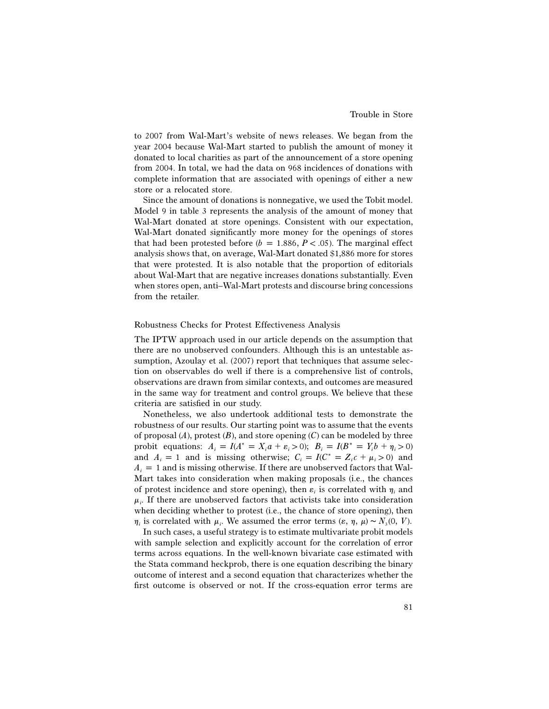to 2007 from Wal-Mart's website of news releases. We began from the year 2004 because Wal-Mart started to publish the amount of money it donated to local charities as part of the announcement of a store opening from 2004. In total, we had the data on 968 incidences of donations with complete information that are associated with openings of either a new store or a relocated store.

Since the amount of donations is nonnegative, we used the Tobit model. Model 9 in table 3 represents the analysis of the amount of money that Wal-Mart donated at store openings. Consistent with our expectation, Wal-Mart donated significantly more money for the openings of stores that had been protested before ( $b = 1.886$ ,  $P < .05$ ). The marginal effect analysis shows that, on average, Wal-Mart donated \$1,886 more for stores that were protested. It is also notable that the proportion of editorials about Wal-Mart that are negative increases donations substantially. Even when stores open, anti–Wal-Mart protests and discourse bring concessions from the retailer.

#### Robustness Checks for Protest Effectiveness Analysis

The IPTW approach used in our article depends on the assumption that there are no unobserved confounders. Although this is an untestable assumption, Azoulay et al. (2007) report that techniques that assume selection on observables do well if there is a comprehensive list of controls, observations are drawn from similar contexts, and outcomes are measured in the same way for treatment and control groups. We believe that these criteria are satisfied in our study.

Nonetheless, we also undertook additional tests to demonstrate the robustness of our results. Our starting point was to assume that the events of proposal (*A*), protest (*B*), and store opening (*C*) can be modeled by three probit equations:  $A_i = I(A^* = X_i a + \varepsilon_i > 0)$ ;  $B_i = I(B^* = Y_i b + \eta_i > 0)$ and  $A_i = 1$  and is missing otherwise;  $C_i = I(C^* = Z_i c + \mu_i > 0)$  and  $A_i = 1$  and is missing otherwise. If there are unobserved factors that Wal-Mart takes into consideration when making proposals (i.e., the chances of protest incidence and store opening), then  $\varepsilon_i$  is correlated with  $\eta_i$  and  $\mu_i$ . If there are unobserved factors that activists take into consideration when deciding whether to protest (i.e., the chance of store opening), then  $\eta_i$  is correlated with  $\mu_i$ . We assumed the error terms  $(\varepsilon, \eta, \mu) \sim N_3(0, V)$ .

In such cases, a useful strategy is to estimate multivariate probit models with sample selection and explicitly account for the correlation of error terms across equations. In the well-known bivariate case estimated with the Stata command heckprob, there is one equation describing the binary outcome of interest and a second equation that characterizes whether the first outcome is observed or not. If the cross-equation error terms are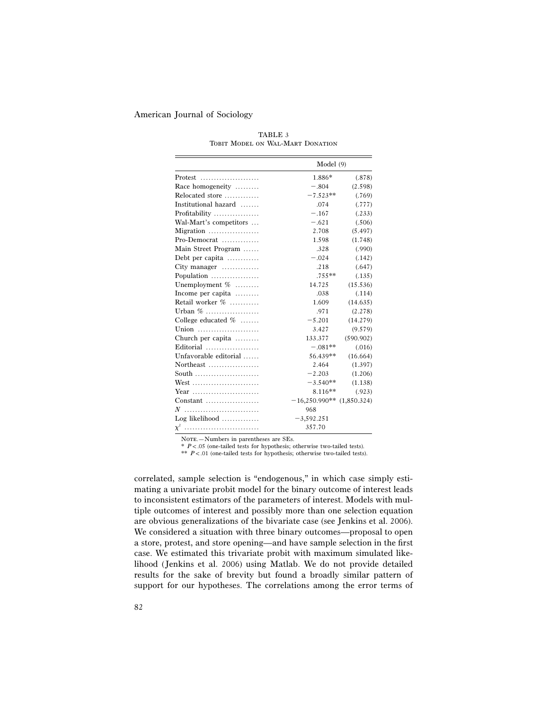|                                            | Model (9)       |             |
|--------------------------------------------|-----------------|-------------|
| $Protest$                                  | 1.886*          | (.878)      |
| Race homogeneity                           | $-.804$         | (2.598)     |
| Relocated store                            | $-7.523**$      | (.769)      |
| Institutional hazard                       | .074            | (.777)      |
| Profitability                              | $-.167$         | (.233)      |
| Wal-Mart's competitors                     | $-.621$         | (.506)      |
| Migration $\dots\dots\dots\dots\dots\dots$ | 2.708           | (5.497)     |
| $Pro-Democrat$                             | 1.598           | (1.748)     |
| Main Street Program                        | .328            | (.990)      |
| Debt per capita                            | $-.024$         | (.142)      |
| City manager                               | .218            | (.647)      |
| Population                                 | $.755***$       | (.135)      |
| Unemployment $\%$                          | 14.725          | (15.536)    |
| Income per capita                          | .038            | (.114)      |
| Retail worker $\%$                         | 1.609           | (14.635)    |
| Urban $\%$                                 | .971            | (2.278)     |
| College educated $\%$                      | $-5.201$        | (14.279)    |
| Union                                      | 3.427           | (9.579)     |
| Church per capita $\dots\dots\dots$        | 133.377         | (590.902)   |
| Editorial                                  | $-.081**$       | (.016)      |
| Unfavorable editorial                      | 56.439**        | (16.664)    |
| Northeast $\dots\dots\dots\dots\dots\dots$ | 2.464           | (1.397)     |
| South                                      | $-2.203$        | (1.206)     |
|                                            | $-3.540**$      | (1.138)     |
| Year                                       | $8.116**$       | (.923)      |
|                                            | $-16,250.990**$ | (1,850.324) |
| $N$                                        | 968             |             |
| Log likelihood                             | $-3,592.251$    |             |
| $\chi^2$                                   | 357.70          |             |

TABLE 3 Tobit Model on Wal-Mart Donation

NOTE.--Numbers in parentheses are SEs.

 $*$   $P$  <.05 (one-tailed tests for hypothesis; otherwise two-tailed tests).

\*\*  $P < .01$  (one-tailed tests for hypothesis; otherwise two-tailed tests).

correlated, sample selection is "endogenous," in which case simply estimating a univariate probit model for the binary outcome of interest leads to inconsistent estimators of the parameters of interest. Models with multiple outcomes of interest and possibly more than one selection equation are obvious generalizations of the bivariate case (see Jenkins et al. 2006). We considered a situation with three binary outcomes—proposal to open a store, protest, and store opening—and have sample selection in the first case. We estimated this trivariate probit with maximum simulated likelihood (Jenkins et al. 2006) using Matlab. We do not provide detailed results for the sake of brevity but found a broadly similar pattern of support for our hypotheses. The correlations among the error terms of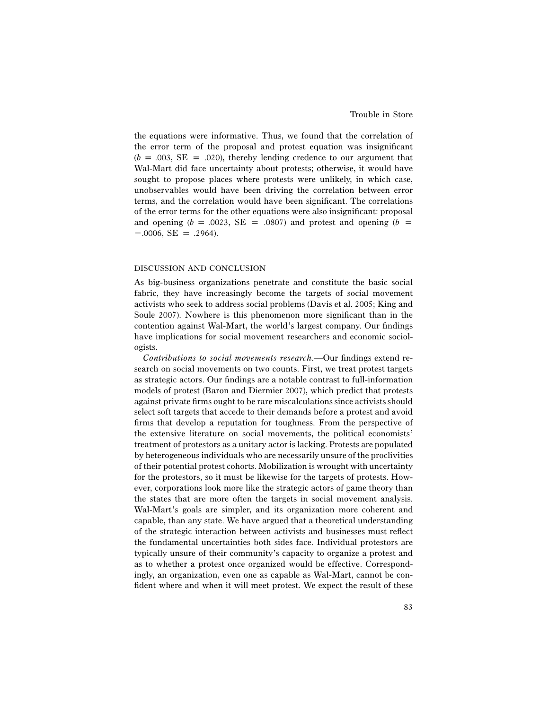the equations were informative. Thus, we found that the correlation of the error term of the proposal and protest equation was insignificant  $(b = .003, SE = .020)$ , thereby lending credence to our argument that Wal-Mart did face uncertainty about protests; otherwise, it would have sought to propose places where protests were unlikely, in which case, unobservables would have been driving the correlation between error terms, and the correlation would have been significant. The correlations of the error terms for the other equations were also insignificant: proposal and opening ( $b = .0023$ , SE = .0807) and protest and opening ( $b =$  $-.0006$ , SE = .2964).

#### DISCUSSION AND CONCLUSION

As big-business organizations penetrate and constitute the basic social fabric, they have increasingly become the targets of social movement activists who seek to address social problems (Davis et al. 2005; King and Soule 2007). Nowhere is this phenomenon more significant than in the contention against Wal-Mart, the world's largest company. Our findings have implications for social movement researchers and economic sociologists.

*Contributions to social movements research*.—Our findings extend research on social movements on two counts. First, we treat protest targets as strategic actors. Our findings are a notable contrast to full-information models of protest (Baron and Diermier 2007), which predict that protests against private firms ought to be rare miscalculations since activists should select soft targets that accede to their demands before a protest and avoid firms that develop a reputation for toughness. From the perspective of the extensive literature on social movements, the political economists' treatment of protestors as a unitary actor is lacking. Protests are populated by heterogeneous individuals who are necessarily unsure of the proclivities of their potential protest cohorts. Mobilization is wrought with uncertainty for the protestors, so it must be likewise for the targets of protests. However, corporations look more like the strategic actors of game theory than the states that are more often the targets in social movement analysis. Wal-Mart's goals are simpler, and its organization more coherent and capable, than any state. We have argued that a theoretical understanding of the strategic interaction between activists and businesses must reflect the fundamental uncertainties both sides face. Individual protestors are typically unsure of their community's capacity to organize a protest and as to whether a protest once organized would be effective. Correspondingly, an organization, even one as capable as Wal-Mart, cannot be confident where and when it will meet protest. We expect the result of these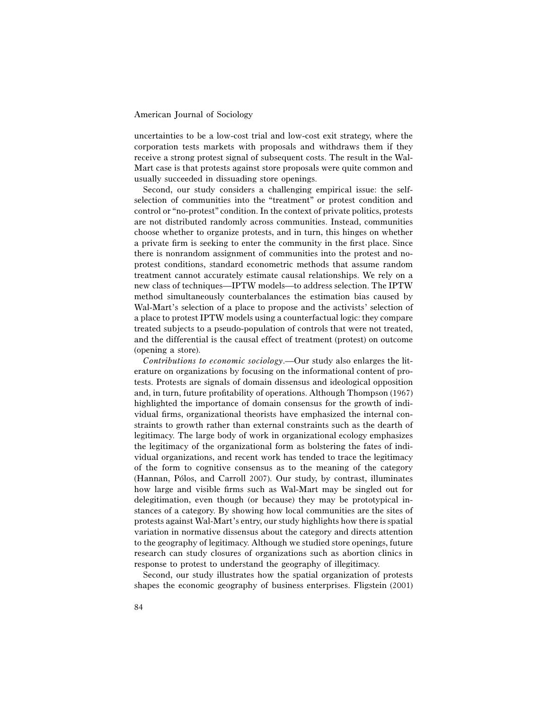uncertainties to be a low-cost trial and low-cost exit strategy, where the corporation tests markets with proposals and withdraws them if they receive a strong protest signal of subsequent costs. The result in the Wal-Mart case is that protests against store proposals were quite common and usually succeeded in dissuading store openings.

Second, our study considers a challenging empirical issue: the selfselection of communities into the "treatment" or protest condition and control or "no-protest" condition. In the context of private politics, protests are not distributed randomly across communities. Instead, communities choose whether to organize protests, and in turn, this hinges on whether a private firm is seeking to enter the community in the first place. Since there is nonrandom assignment of communities into the protest and noprotest conditions, standard econometric methods that assume random treatment cannot accurately estimate causal relationships. We rely on a new class of techniques—IPTW models—to address selection. The IPTW method simultaneously counterbalances the estimation bias caused by Wal-Mart's selection of a place to propose and the activists' selection of a place to protest IPTW models using a counterfactual logic: they compare treated subjects to a pseudo-population of controls that were not treated, and the differential is the causal effect of treatment (protest) on outcome (opening a store).

*Contributions to economic sociology*.—Our study also enlarges the literature on organizations by focusing on the informational content of protests. Protests are signals of domain dissensus and ideological opposition and, in turn, future profitability of operations. Although Thompson (1967) highlighted the importance of domain consensus for the growth of individual firms, organizational theorists have emphasized the internal constraints to growth rather than external constraints such as the dearth of legitimacy. The large body of work in organizational ecology emphasizes the legitimacy of the organizational form as bolstering the fates of individual organizations, and recent work has tended to trace the legitimacy of the form to cognitive consensus as to the meaning of the category (Hannan, Pólos, and Carroll 2007). Our study, by contrast, illuminates how large and visible firms such as Wal-Mart may be singled out for delegitimation, even though (or because) they may be prototypical instances of a category. By showing how local communities are the sites of protests against Wal-Mart's entry, our study highlights how there is spatial variation in normative dissensus about the category and directs attention to the geography of legitimacy. Although we studied store openings, future research can study closures of organizations such as abortion clinics in response to protest to understand the geography of illegitimacy.

Second, our study illustrates how the spatial organization of protests shapes the economic geography of business enterprises. Fligstein (2001)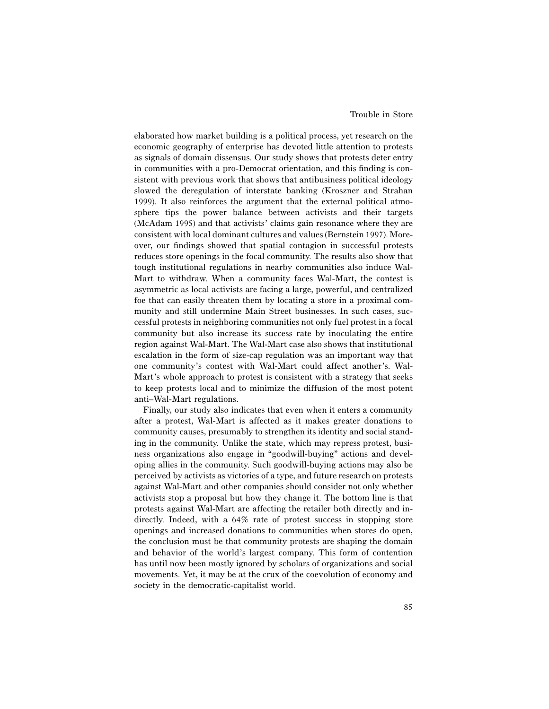#### Trouble in Store

elaborated how market building is a political process, yet research on the economic geography of enterprise has devoted little attention to protests as signals of domain dissensus. Our study shows that protests deter entry in communities with a pro-Democrat orientation, and this finding is consistent with previous work that shows that antibusiness political ideology slowed the deregulation of interstate banking (Kroszner and Strahan 1999). It also reinforces the argument that the external political atmosphere tips the power balance between activists and their targets (McAdam 1995) and that activists' claims gain resonance where they are consistent with local dominant cultures and values (Bernstein 1997). Moreover, our findings showed that spatial contagion in successful protests reduces store openings in the focal community. The results also show that tough institutional regulations in nearby communities also induce Wal-Mart to withdraw. When a community faces Wal-Mart, the contest is asymmetric as local activists are facing a large, powerful, and centralized foe that can easily threaten them by locating a store in a proximal community and still undermine Main Street businesses. In such cases, successful protests in neighboring communities not only fuel protest in a focal community but also increase its success rate by inoculating the entire region against Wal-Mart. The Wal-Mart case also shows that institutional escalation in the form of size-cap regulation was an important way that one community's contest with Wal-Mart could affect another's. Wal-Mart's whole approach to protest is consistent with a strategy that seeks to keep protests local and to minimize the diffusion of the most potent anti–Wal-Mart regulations.

Finally, our study also indicates that even when it enters a community after a protest, Wal-Mart is affected as it makes greater donations to community causes, presumably to strengthen its identity and social standing in the community. Unlike the state, which may repress protest, business organizations also engage in "goodwill-buying" actions and developing allies in the community. Such goodwill-buying actions may also be perceived by activists as victories of a type, and future research on protests against Wal-Mart and other companies should consider not only whether activists stop a proposal but how they change it. The bottom line is that protests against Wal-Mart are affecting the retailer both directly and indirectly. Indeed, with a 64% rate of protest success in stopping store openings and increased donations to communities when stores do open, the conclusion must be that community protests are shaping the domain and behavior of the world's largest company. This form of contention has until now been mostly ignored by scholars of organizations and social movements. Yet, it may be at the crux of the coevolution of economy and society in the democratic-capitalist world.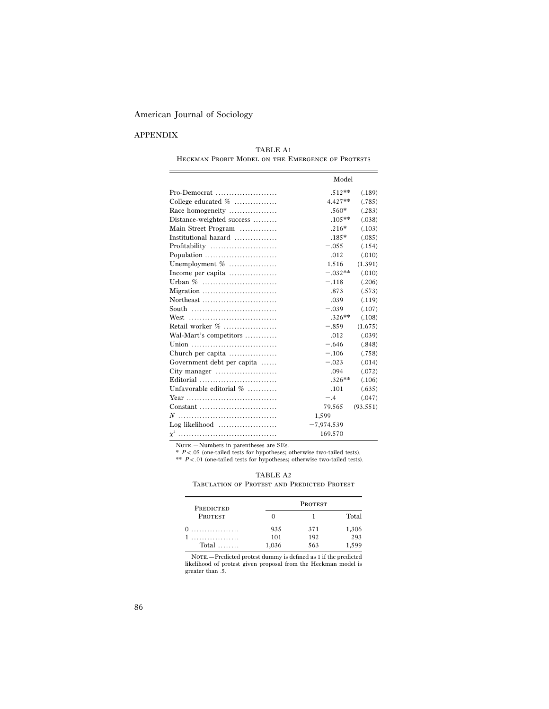# APPENDIX

|                                                         | Model        |          |
|---------------------------------------------------------|--------------|----------|
| Pro-Democrat                                            | $.512**$     | (.189)   |
| College educated $\%$                                   | 4.427**      | (.785)   |
| Race homogeneity                                        | $.560*$      | (.283)   |
| Distance-weighted success                               | $.105**$     | (.038)   |
| Main Street Program                                     | $.216*$      | (.103)   |
| Institutional hazard                                    | $.185*$      | (.085)   |
| Profitability                                           | $-.055$      | (.154)   |
| Population                                              | .012         | (.010)   |
| Unemployment $\%$                                       | 1.516        | (1.391)  |
| Income per capita                                       | $-.032**$    | (.010)   |
|                                                         | $-.118$      | (.206)   |
| Migration                                               | .873         | (.573)   |
| Northeast                                               | .039         | (.119)   |
| South                                                   | $-.039$      | (.107)   |
| West                                                    | $.326**$     | (.108)   |
| Retail worker %                                         | $-.859$      | (1.675)  |
| Wal-Mart's competitors                                  | .012         | (.039)   |
| Union                                                   | $-.646$      | (.848)   |
| Church per capita $\dots\dots\dots\dots\dots\dots$      | $-.106$      | (.758)   |
| Government debt per capita                              | $-.023$      | (.014)   |
| City manager $\dots\dots\dots\dots\dots\dots\dots\dots$ | .094         | (.072)   |
| Editorial                                               | $.326**$     | (.106)   |
| Unfavorable editorial $\%$                              | .101         | (.635)   |
| Year                                                    | $-.4$        | (.047)   |
|                                                         | 79.565       | (93.551) |
|                                                         | 1,599        |          |
|                                                         | $-7,974.539$ |          |
|                                                         | 169.570      |          |

TABLE A1 Heckman Probit Model on the Emergence of Protests

NOTE.—Numbers in parentheses are SEs.<br>*\**  $P < .05$  (one-tailed tests for hypotheses; otherwise two-tailed tests).<br>*\*\**  $P < .01$  (one-tailed tests for hypotheses; otherwise two-tailed tests).

| PREDICTED      |       | <b>PROTEST</b> |       |
|----------------|-------|----------------|-------|
| <b>PROTEST</b> |       |                | Total |
| .              | 935   | 371            | 1,306 |
|                | 101   | 192            | 293   |
| Total $\dots$  | 1,036 | 563            | 1,599 |

TABLE A2 Tabulation of Protest and Predicted Protest

Note.—Predicted protest dummy is defined as 1 if the predicted likelihood of protest given proposal from the Heckman model is greater than .5.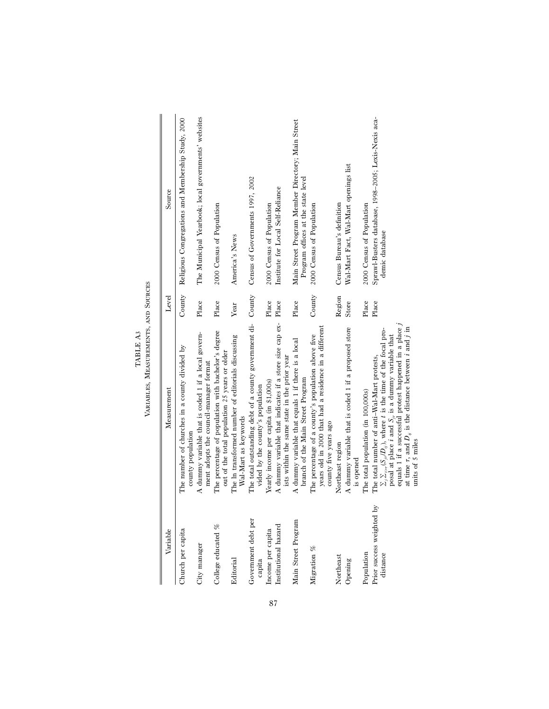| Variable                                                    | Measurement                                                                                                                                                                                                                                                                                                                                          | ${\rm Level}$ | Source                                                                                  |
|-------------------------------------------------------------|------------------------------------------------------------------------------------------------------------------------------------------------------------------------------------------------------------------------------------------------------------------------------------------------------------------------------------------------------|---------------|-----------------------------------------------------------------------------------------|
| Church per capita                                           | The number of churches in a county divided by<br>county population                                                                                                                                                                                                                                                                                   | County        | Religious Congregations and Membership Study, 2000                                      |
| City manager                                                | A dummy variable that is coded 1 if a local govern-<br>ment adopts the council-manager format                                                                                                                                                                                                                                                        | Place         | The Municipal Yearbook; local governments' websites                                     |
| College educated %                                          | The percentage of population with bachelor's degree<br>out of the total population 25 years or older                                                                                                                                                                                                                                                 | Place         | 2000 Census of Population                                                               |
| Editorial                                                   | The In transformed number of editorials discussing<br>Wal-Mart as keywords                                                                                                                                                                                                                                                                           | Year          | America's News                                                                          |
| Government debt per<br>capita                               | The total outstanding debt of a county government di- County<br>vided by the county's population                                                                                                                                                                                                                                                     |               | Census of Governments 1997, 2002                                                        |
| Income per capita                                           | Yearly income per capita (in \$1,000s)                                                                                                                                                                                                                                                                                                               | Place         | 2000 Census of Population                                                               |
| Institutional hazard                                        | A dummy variable that indicates if a store size cap ex-<br>ists within the same state in the prior year                                                                                                                                                                                                                                              | Place         | Institute for Local Self-Reliance                                                       |
| Main Street Program                                         | A dummy variable that equals 1 if there is a local<br>branch of the Main Street Program                                                                                                                                                                                                                                                              | Place         | Main Street Program Member Directory; Main Street<br>Program offices at the state level |
| Migration %                                                 | years old in 2000 that had a residence in a different<br>The percentage of a county's population above five<br>county five years ago                                                                                                                                                                                                                 | County        | 2000 Census of Population                                                               |
| Northeast                                                   | Northeast region                                                                                                                                                                                                                                                                                                                                     | Region        | Census Bureau's definition                                                              |
| Opening                                                     | A dummy variable that is coded 1 if a proposed store<br>is opened                                                                                                                                                                                                                                                                                    | Store         | Wal-Mart Fact, Wal-Mart openings list                                                   |
| Population                                                  | The total population (in 100,000s)                                                                                                                                                                                                                                                                                                                   | Place         | 2000 Census of Population                                                               |
| $\tilde{\mathcal{S}}$<br>Prior success weighted<br>distance | equals 1 if a successful protest happened in a place j<br>at time $\tau$ , and $D_{ij}$ is the distance between i and j in<br>$\Sigma_i, \Sigma_{i>_{\tau}}(S_j, D_{ij}),$ where t is the time of the focal pro-<br>posal at place <i>i</i> and $S_{ij}$ is a dummy variable that<br>The total number of anti-Wal-Mart protests,<br>units of 5 miles | Place         | Sprawl-Busters database, 1998-2005; Lexis-Nexis aca-<br>demic database                  |

TABLE A3<br>Variables, Measurements, and Sources Variables, Measurements, and Sources TABLE A3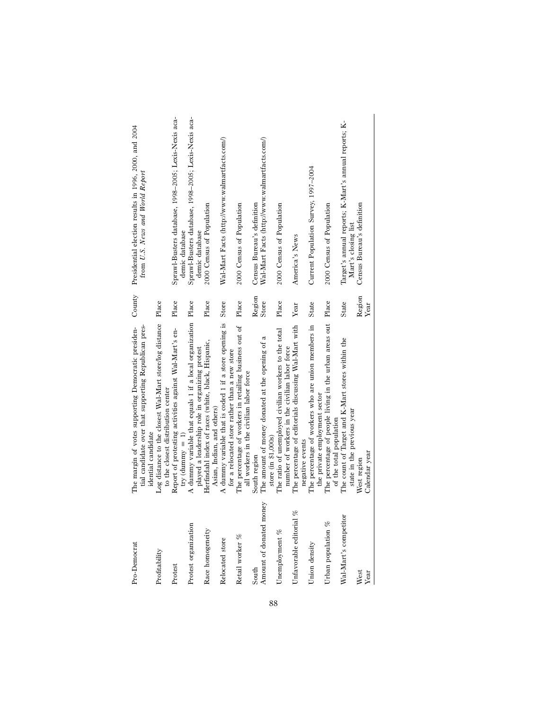| Pro-Democrat              | tial candidate over that supporting Republican pres-<br>The margin of votes supporting Democratic presiden-<br>idential candidate | County         | Presidential election results in 1996, 2000, and 2004<br>from U.S. News and World Report |
|---------------------------|-----------------------------------------------------------------------------------------------------------------------------------|----------------|------------------------------------------------------------------------------------------|
| Profitability             | Log distance to the closest Wal-Mart store/log distance<br>to the closest distribution center                                     | Place          |                                                                                          |
| Protest                   | Report of protesting activities against Wal-Mart's en-<br>try (dummy $= 1$ )                                                      | Place          | Sprawl-Busters database, 1998-2005; Lexis-Nexis aca-<br>demic database                   |
| Protest organization      | A dummy variable that equals 1 if a local organization Place<br>played a leadership role in organizing protest                    |                | Sprawl-Busters database, 1998-2005; Lexis-Nexis aca-<br>demic database                   |
| Race homogeneity          | Herfindahl index of races (white, black, Hispanic,<br>Asian, Indian, and others)                                                  | Place          | 2000 Census of Population                                                                |
| Relocated store           | A dummy variable that is coded 1 if a store opening is<br>for a relocated store rather than a new store                           | Store          | Wal-Mart Facts (http://www.walmartfacts.com/)                                            |
| Retail worker %           | The percentage of workers in retailing business out of<br>all workers in the civilian labor force                                 | Place          | 2000 Census of Population                                                                |
| South                     | South region                                                                                                                      | Region         | Census Bureau's definition                                                               |
| Amount of donated money   | ದ<br>The amount of money donated at the opening of<br>store (in $$1,000s$ )                                                       | Store          | Wal-Mart Facts (http://www.walmartfacts.com/)                                            |
| Unemployment $\%$         | The ratio of unemployed civilian workers to the total<br>number of workers in the civilian labor force                            | Place          | 2000 Census of Population                                                                |
| Unfavorable editorial $%$ | The percentage of editorials discussing Wal-Mart with<br>negative events                                                          | Year           | America's News                                                                           |
| Union density             | The percentage of workers who are union members in<br>the private employment sector                                               | State          | Current Population Survey, 1997-2004                                                     |
| Urban population $\%$     | The percentage of people living in the urban areas out<br>of the total population                                                 | Place          | 2000 Census of Population                                                                |
| Wal-Mart's competitor     | The count of Target and K-Mart stores within the<br>state in the previous year                                                    | <b>State</b>   | Target's annual reports; K-Mart's annual reports; K-<br>Mart's closing list              |
| West<br>Year              | Calendar year<br>West region                                                                                                      | Region<br>Year | Census Bureau's definition                                                               |
|                           |                                                                                                                                   |                |                                                                                          |

88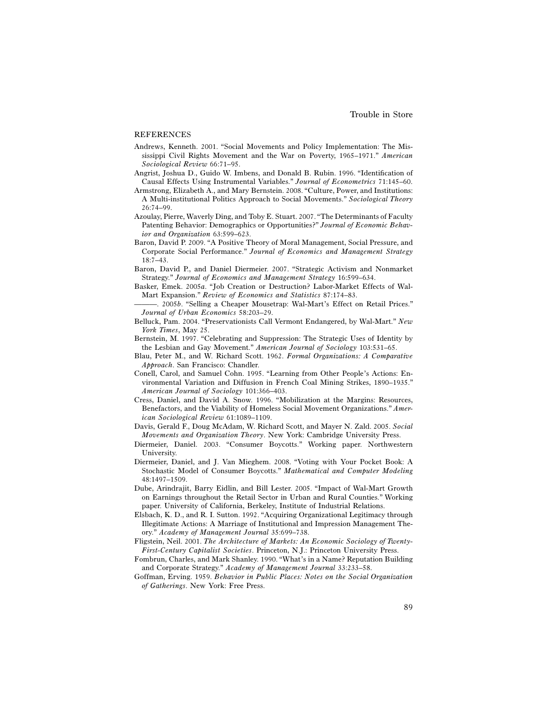#### REFERENCES

- Andrews, Kenneth. 2001. "Social Movements and Policy Implementation: The Mississippi Civil Rights Movement and the War on Poverty, 1965–1971." *American Sociological Review* 66:71–95.
- Angrist, Joshua D., Guido W. Imbens, and Donald B. Rubin. 1996. "Identification of Causal Effects Using Instrumental Variables." *Journal of Econometrics* 71:145–60.
- Armstrong, Elizabeth A., and Mary Bernstein. 2008. "Culture, Power, and Institutions: A Multi-institutional Politics Approach to Social Movements." *Sociological Theory* 26:74–99.
- Azoulay, Pierre, Waverly Ding, and Toby E. Stuart. 2007. "The Determinants of Faculty Patenting Behavior: Demographics or Opportunities?" *Journal of Economic Behavior and Organization* 63:599–623.
- Baron, David P. 2009. "A Positive Theory of Moral Management, Social Pressure, and Corporate Social Performance." *Journal of Economics and Management Strategy*  $18.7 - 43$
- Baron, David P., and Daniel Diermeier. 2007. "Strategic Activism and Nonmarket Strategy." *Journal of Economics and Management Strategy* 16:599–634.
- Basker, Emek. 2005*a*. "Job Creation or Destruction? Labor-Market Effects of Wal-Mart Expansion." *Review of Economics and Statistics* 87:174–83.
- ———. 2005*b*. "Selling a Cheaper Mousetrap: Wal-Mart's Effect on Retail Prices." *Journal of Urban Economics* 58:203–29.
- Belluck, Pam. 2004. "Preservationists Call Vermont Endangered, by Wal-Mart." *New York Times*, May 25.
- Bernstein, M. 1997. "Celebrating and Suppression: The Strategic Uses of Identity by the Lesbian and Gay Movement." *American Journal of Sociology* 103:531–65.
- Blau, Peter M., and W. Richard Scott. 1962. *Formal Organizations: A Comparative Approach*. San Francisco: Chandler.
- Conell, Carol, and Samuel Cohn. 1995. "Learning from Other People's Actions: Environmental Variation and Diffusion in French Coal Mining Strikes, 1890–1935." *American Journal of Sociology* 101:366–403.
- Cress, Daniel, and David A. Snow. 1996. "Mobilization at the Margins: Resources, Benefactors, and the Viability of Homeless Social Movement Organizations." *American Sociological Review* 61:1089–1109.
- Davis, Gerald F., Doug McAdam, W. Richard Scott, and Mayer N. Zald. 2005. *Social Movements and Organization Theory*. New York: Cambridge University Press.
- Diermeier, Daniel. 2003. "Consumer Boycotts." Working paper. Northwestern University.
- Diermeier, Daniel, and J. Van Mieghem. 2008. "Voting with Your Pocket Book: A Stochastic Model of Consumer Boycotts." *Mathematical and Computer Modeling* 48:1497–1509.
- Dube, Arindrajit, Barry Eidlin, and Bill Lester. 2005. "Impact of Wal-Mart Growth on Earnings throughout the Retail Sector in Urban and Rural Counties." Working paper. University of California, Berkeley, Institute of Industrial Relations.
- Elsbach, K. D., and R. I. Sutton. 1992. "Acquiring Organizational Legitimacy through Illegitimate Actions: A Marriage of Institutional and Impression Management Theory." *Academy of Management Journal* 35:699–738.
- Fligstein, Neil. 2001. *The Architecture of Markets: An Economic Sociology of Twenty-First-Century Capitalist Societies*. Princeton, N.J.: Princeton University Press.
- Fombrun, Charles, and Mark Shanley. 1990. "What's in a Name? Reputation Building and Corporate Strategy." *Academy of Management Journal* 33:233–58.
- Goffman, Erving. 1959. *Behavior in Public Places: Notes on the Social Organization of Gatherings*. New York: Free Press.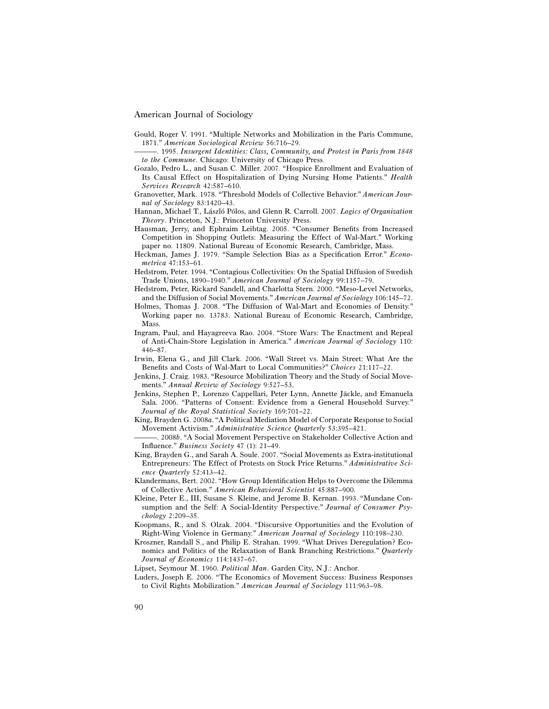Gould, Roger V. 1991. "Multiple Networks and Mobilization in the Paris Commune, 1871." *American Sociological Review* 56:716–29.

———. 1995. *Insurgent Identities: Class, Community, and Protest in Paris from 1848 to the Commune*. Chicago: University of Chicago Press.

- Gozalo, Pedro L., and Susan C. Miller. 2007. "Hospice Enrollment and Evaluation of Its Causal Effect on Hospitalization of Dying Nursing Home Patients." *Health Services Research* 42:587–610.
- Granovetter, Mark. 1978. "Threshold Models of Collective Behavior." *American Journal of Sociology* 83:1420–43.
- Hannan, Michael T., László Pólos, and Glenn R. Carroll. 2007. *Logics of Organization Theory*. Princeton, N.J.: Princeton University Press.
- Hausman, Jerry, and Ephraim Leibtag. 2005. "Consumer Benefits from Increased Competition in Shopping Outlets: Measuring the Effect of Wal-Mart." Working paper no. 11809. National Bureau of Economic Research, Cambridge, Mass.
- Heckman, James J. 1979. "Sample Selection Bias as a Specification Error." *Econometrica* 47:153–61.
- Hedstrom, Peter. 1994. "Contagious Collectivities: On the Spatial Diffusion of Swedish Trade Unions, 1890–1940." *American Journal of Sociology* 99:1157–79.
- Hedstrom, Peter, Rickard Sandell, and Charlotta Stern. 2000. "Meso-Level Networks, and the Diffusion of Social Movements." *American Journal of Sociology* 106:145–72.
- Holmes, Thomas J. 2008. "The Diffusion of Wal-Mart and Economies of Density." Working paper no. 13783. National Bureau of Economic Research, Cambridge, **Mass**
- Ingram, Paul, and Hayagreeva Rao. 2004. "Store Wars: The Enactment and Repeal of Anti-Chain-Store Legislation in America." *American Journal of Sociology* 110: 446–87.
- Irwin, Elena G., and Jill Clark. 2006. "Wall Street vs. Main Street: What Are the Benefits and Costs of Wal-Mart to Local Communities?" *Choices* 21:117–22.
- Jenkins, J. Craig. 1983. "Resource Mobilization Theory and the Study of Social Movements." *Annual Review of Sociology* 9:527–53.
- Jenkins, Stephen P., Lorenzo Cappellari, Peter Lynn, Annette Jäckle, and Emanuela Sala. 2006. "Patterns of Consent: Evidence from a General Household Survey." *Journal of the Royal Statistical Society* 169:701–22.
- King, Brayden G. 2008*a*. "A Political Mediation Model of Corporate Response to Social Movement Activism." *Administrative Science Quarterly* 53:395–421.
- ———. 2008*b*. "A Social Movement Perspective on Stakeholder Collective Action and Influence." *Business Society* 47 (1): 21–49.
- King, Brayden G., and Sarah A. Soule. 2007. "Social Movements as Extra-institutional Entrepreneurs: The Effect of Protests on Stock Price Returns." *Administrative Science Quarterly* 52:413–42.
- Klandermans, Bert. 2002. "How Group Identification Helps to Overcome the Dilemma of Collective Action." *American Behavioral Scientist* 45:887–900.
- Kleine, Peter E., III, Susane S. Kleine, and Jerome B. Kernan. 1993. "Mundane Consumption and the Self: A Social-Identity Perspective." *Journal of Consumer Psychology* 2:209–35.
- Koopmans, R., and S. Olzak. 2004. "Discursive Opportunities and the Evolution of Right-Wing Violence in Germany." *American Journal of Sociology* 110:198–230.
- Kroszner, Randall S., and Philip E. Strahan. 1999. "What Drives Deregulation? Economics and Politics of the Relaxation of Bank Branching Restrictions." *Quarterly Journal of Economics* 114:1437–67.
- Lipset, Seymour M. 1960. *Political Man*. Garden City, N.J.: Anchor.
- Luders, Joseph E. 2006. "The Economics of Movement Success: Business Responses to Civil Rights Mobilization." *American Journal of Sociology* 111:963–98.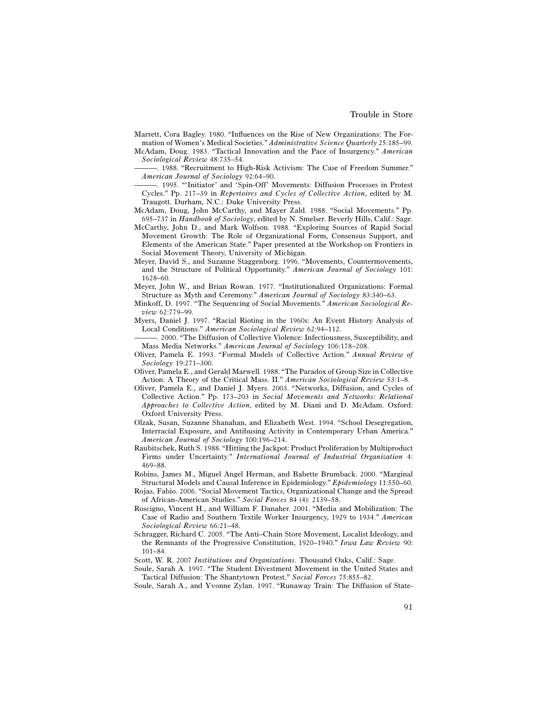- Marrett, Cora Bagley. 1980. "Influences on the Rise of New Organizations: The Formation of Women's Medical Societies." *Administrative Science Quarterly* 25:185–99.
- McAdam, Doug. 1983. "Tactical Innovation and the Pace of Insurgency." *American Sociological Review* 48:735–54.
- ———. 1988. "Recruitment to High-Risk Activism: The Case of Freedom Summer." *American Journal of Sociology* 92:64–90.
- 1995. "'Initiator' and 'Spin-Off' Movements: Diffusion Processes in Protest Cycles." Pp. 217–39 in *Repertoires and Cycles of Collective Action*, edited by M. Traugott. Durham, N.C.: Duke University Press.
- McAdam, Doug, John McCarthy, and Mayer Zald. 1988. "Social Movements." Pp. 695–737 in *Handbook of Sociology*, edited by N. Smelser. Beverly Hills, Calif.: Sage.
- McCarthy, John D., and Mark Wolfson. 1988. "Exploring Sources of Rapid Social Movement Growth: The Role of Organizational Form, Consensus Support, and Elements of the American State." Paper presented at the Workshop on Frontiers in Social Movement Theory, University of Michigan.
- Meyer, David S., and Suzanne Staggenborg. 1996. "Movements, Countermovements, and the Structure of Political Opportunity." *American Journal of Sociology* 101: 1628–60.
- Meyer, John W., and Brian Rowan. 1977. "Institutionalized Organizations: Formal Structure as Myth and Ceremony." *American Journal of Sociology* 83:340–63.
- Minkoff, D. 1997. "The Sequencing of Social Movements." *American Sociological Review* 62:779–99.
- Myers, Daniel J. 1997. "Racial Rioting in the 1960s: An Event History Analysis of Local Conditions." *American Sociological Review* 62:94–112.
- ———. 2000. "The Diffusion of Collective Violence: Infectiousness, Susceptibility, and Mass Media Networks." *American Journal of Sociology* 106:178–208.
- Oliver, Pamela E. 1993. "Formal Models of Collective Action." *Annual Review of Sociology* 19:271–300.
- Oliver, Pamela E., and Gerald Marwell. 1988. "The Paradox of Group Size in Collective Action: A Theory of the Critical Mass. II." *American Sociological Review* 53:1–8.
- Oliver, Pamela E., and Daniel J. Myers. 2003. "Networks, Diffusion, and Cycles of Collective Action." Pp. 173–203 in *Social Movements and Networks: Relational Approaches to Collective Action*, edited by M. Diani and D. McAdam. Oxford: Oxford University Press.
- Olzak, Susan, Suzanne Shanahan, and Elizabeth West. 1994. "School Desegregation, Interracial Exposure, and Antibusing Activity in Contemporary Urban America." *American Journal of Sociology* 100:196–214.
- Raubitschek, Ruth S. 1988. "Hitting the Jackpot: Product Proliferation by Multiproduct Firms under Uncertainty." *International Journal of Industrial Organization* 4: 469–88.
- Robins, James M., Miguel Angel Herman, and Babette Brumback. 2000. "Marginal Structural Models and Causal Inference in Epidemiology." *Epidemiology* 11:550–60.
- Rojas, Fabio. 2006. "Social Movement Tactics, Organizational Change and the Spread of African-American Studies." *Social Forces* 84 (4): 2139–58.
- Roscigno, Vincent H., and William F. Danaher. 2001. "Media and Mobilization: The Case of Radio and Southern Textile Worker Insurgency, 1929 to 1934." *American Sociological Review* 66:21–48.
- Schragger, Richard C. 2005. "The Anti–Chain Store Movement, Localist Ideology, and the Remnants of the Progressive Constitution, 1920–1940." *Iowa Law Review* 90: 101–84.
- Scott, W. R. 2007 *Institutions and Organizations*. Thousand Oaks, Calif.: Sage.
- Soule, Sarah A. 1997. "The Student Divestment Movement in the United States and Tactical Diffusion: The Shantytown Protest." *Social Forces* 75:855–82.
- Soule, Sarah A., and Yvonne Zylan. 1997. "Runaway Train: The Diffusion of State-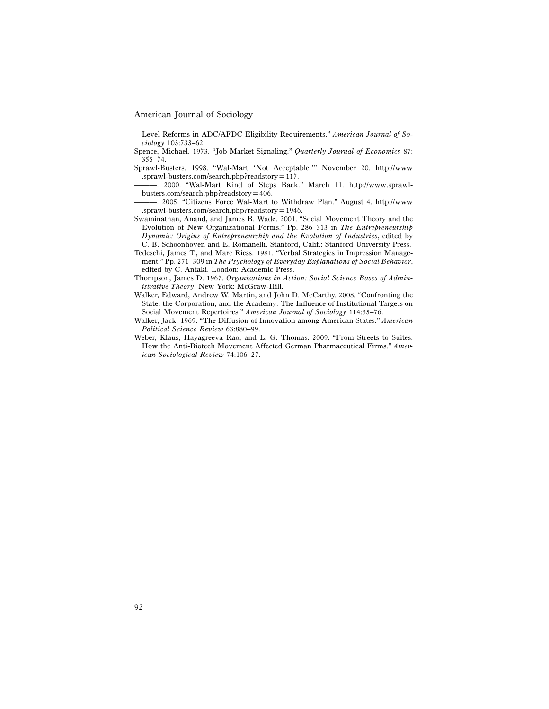Level Reforms in ADC/AFDC Eligibility Requirements." *American Journal of Sociology* 103:733–62.

Spence, Michael. 1973. "Job Market Signaling." *Quarterly Journal of Economics* 87: 355–74.

Sprawl-Busters. 1998. "Wal-Mart 'Not Acceptable.'" November 20. http://www .sprawl-busters.com/search.php?readstory=117.

. 2000. "Wal-Mart Kind of Steps Back." March 11. http://www.sprawlbusters.com/search.php?readstory= $406$ .

———. 2005. "Citizens Force Wal-Mart to Withdraw Plan." August 4. http://www .sprawl-busters.com/search.php?readstory=1946.

- Swaminathan, Anand, and James B. Wade. 2001. "Social Movement Theory and the Evolution of New Organizational Forms." Pp. 286–313 in *The Entrepreneurship Dynamic: Origins of Entrepreneurship and the Evolution of Industries*, edited by C. B. Schoonhoven and E. Romanelli. Stanford, Calif.: Stanford University Press.
- Tedeschi, James T., and Marc Riess. 1981. "Verbal Strategies in Impression Management." Pp. 271–309 in *The Psychology of Everyday Explanations of Social Behavior*, edited by C. Antaki. London: Academic Press.
- Thompson, James D. 1967. *Organizations in Action: Social Science Bases of Administrative Theory*. New York: McGraw-Hill.
- Walker, Edward, Andrew W. Martin, and John D. McCarthy. 2008. "Confronting the State, the Corporation, and the Academy: The Influence of Institutional Targets on Social Movement Repertoires." *American Journal of Sociology* 114:35–76.
- Walker, Jack. 1969. "The Diffusion of Innovation among American States." *American Political Science Review* 63:880–99.
- Weber, Klaus, Hayagreeva Rao, and L. G. Thomas. 2009. "From Streets to Suites: How the Anti-Biotech Movement Affected German Pharmaceutical Firms." *American Sociological Review* 74:106–27.